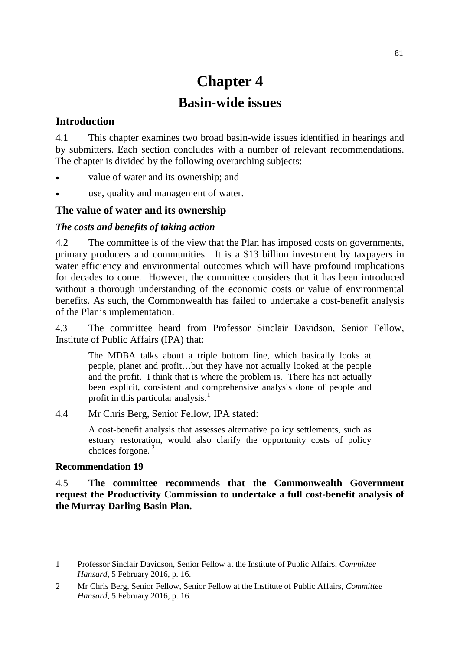# **Chapter 4 Basin-wide issues**

## **Introduction**

4.1 This chapter examines two broad basin-wide issues identified in hearings and by submitters. Each section concludes with a number of relevant recommendations. The chapter is divided by the following overarching subjects:

- value of water and its ownership; and
- use, quality and management of water.

## **The value of water and its ownership**

#### *The costs and benefits of taking action*

4.2 The committee is of the view that the Plan has imposed costs on governments, primary producers and communities. It is a \$13 billion investment by taxpayers in water efficiency and environmental outcomes which will have profound implications for decades to come. However, the committee considers that it has been introduced without a thorough understanding of the economic costs or value of environmental benefits. As such, the Commonwealth has failed to undertake a cost-benefit analysis of the Plan's implementation.

4.3 The committee heard from Professor Sinclair Davidson, Senior Fellow, Institute of Public Affairs (IPA) that:

The MDBA talks about a triple bottom line, which basically looks at people, planet and profit…but they have not actually looked at the people and the profit. I think that is where the problem is. There has not actually been explicit, consistent and comprehensive analysis done of people and profit in this particular analysis. $<sup>1</sup>$  $<sup>1</sup>$  $<sup>1</sup>$ </sup>

4.4 Mr Chris Berg, Senior Fellow, IPA stated:

A cost-benefit analysis that assesses alternative policy settlements, such as estuary restoration, would also clarify the opportunity costs of policy choices forgone. [2](#page-0-1)

#### **Recommendation 19**

-

4.5 **The committee recommends that the Commonwealth Government request the Productivity Commission to undertake a full cost-benefit analysis of the Murray Darling Basin Plan.**

<span id="page-0-0"></span><sup>1</sup> Professor Sinclair Davidson, Senior Fellow at the Institute of Public Affairs, *Committee Hansard*, 5 February 2016, p. 16.

<span id="page-0-1"></span><sup>2</sup> Mr Chris Berg, Senior Fellow, Senior Fellow at the Institute of Public Affairs, *Committee Hansard*, 5 February 2016, p. 16.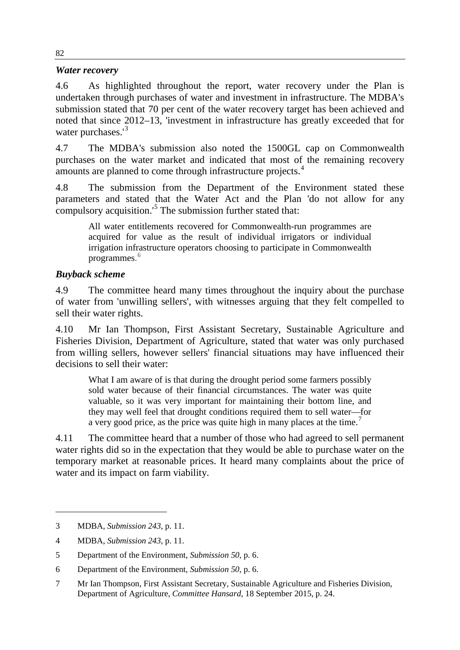#### *Water recovery*

4.6 As highlighted throughout the report, water recovery under the Plan is undertaken through purchases of water and investment in infrastructure. The MDBA's submission stated that 70 per cent of the water recovery target has been achieved and noted that since 2012–13, 'investment in infrastructure has greatly exceeded that for water purchases.<sup>1[3](#page-1-0)</sup>

4.7 The MDBA's submission also noted the 1500GL cap on Commonwealth purchases on the water market and indicated that most of the remaining recovery amounts are planned to come through infrastructure projects.<sup>[4](#page-1-1)</sup>

4.8 The submission from the Department of the Environment stated these parameters and stated that the Water Act and the Plan 'do not allow for any compulsory acquisition.'[5](#page-1-2) The submission further stated that:

All water entitlements recovered for Commonwealth-run programmes are acquired for value as the result of individual irrigators or individual irrigation infrastructure operators choosing to participate in Commonwealth programmes. [6](#page-1-3)

# *Buyback scheme*

4.9 The committee heard many times throughout the inquiry about the purchase of water from 'unwilling sellers', with witnesses arguing that they felt compelled to sell their water rights.

4.10 Mr Ian Thompson, First Assistant Secretary, Sustainable Agriculture and Fisheries Division, Department of Agriculture, stated that water was only purchased from willing sellers, however sellers' financial situations may have influenced their decisions to sell their water:

What I am aware of is that during the drought period some farmers possibly sold water because of their financial circumstances. The water was quite valuable, so it was very important for maintaining their bottom line, and they may well feel that drought conditions required them to sell water—for a very good price, as the price was quite high in many places at the time.<sup>[7](#page-1-4)</sup>

4.11 The committee heard that a number of those who had agreed to sell permanent water rights did so in the expectation that they would be able to purchase water on the temporary market at reasonable prices. It heard many complaints about the price of water and its impact on farm viability.

<span id="page-1-0"></span><sup>3</sup> MDBA, *Submission 243*, p. 11.

<span id="page-1-1"></span><sup>4</sup> MDBA, *Submission 243*, p. 11.

<span id="page-1-2"></span><sup>5</sup> Department of the Environment, *Submission 50*, p. 6.

<span id="page-1-3"></span><sup>6</sup> Department of the Environment, *Submission 50*, p. 6.

<span id="page-1-4"></span><sup>7</sup> Mr Ian Thompson, First Assistant Secretary, Sustainable Agriculture and Fisheries Division, Department of Agriculture, *Committee Hansard*, 18 September 2015, p. 24.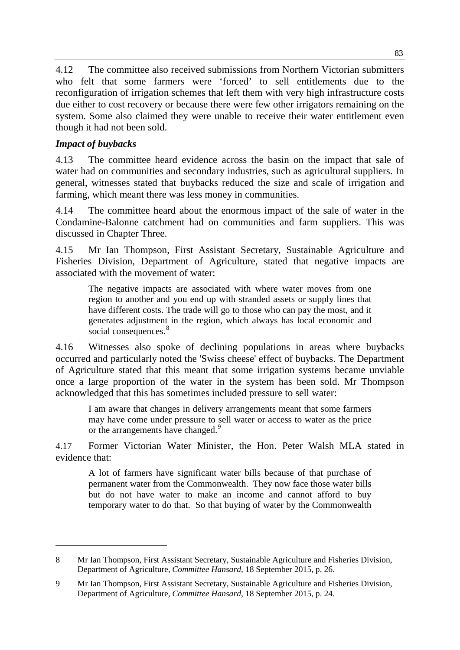4.12 The committee also received submissions from Northern Victorian submitters who felt that some farmers were 'forced' to sell entitlements due to the reconfiguration of irrigation schemes that left them with very high infrastructure costs due either to cost recovery or because there were few other irrigators remaining on the system. Some also claimed they were unable to receive their water entitlement even though it had not been sold.

# *Impact of buybacks*

-

4.13 The committee heard evidence across the basin on the impact that sale of water had on communities and secondary industries, such as agricultural suppliers. In general, witnesses stated that buybacks reduced the size and scale of irrigation and farming, which meant there was less money in communities.

4.14 The committee heard about the enormous impact of the sale of water in the Condamine-Balonne catchment had on communities and farm suppliers. This was discussed in Chapter Three.

4.15 Mr Ian Thompson, First Assistant Secretary, Sustainable Agriculture and Fisheries Division, Department of Agriculture, stated that negative impacts are associated with the movement of water:

The negative impacts are associated with where water moves from one region to another and you end up with stranded assets or supply lines that have different costs. The trade will go to those who can pay the most, and it generates adjustment in the region, which always has local economic and social consequences.<sup>[8](#page-2-0)</sup>

4.16 Witnesses also spoke of declining populations in areas where buybacks occurred and particularly noted the 'Swiss cheese' effect of buybacks. The Department of Agriculture stated that this meant that some irrigation systems became unviable once a large proportion of the water in the system has been sold. Mr Thompson acknowledged that this has sometimes included pressure to sell water:

I am aware that changes in delivery arrangements meant that some farmers may have come under pressure to sell water or access to water as the price or the arrangements have changed.<sup>[9](#page-2-1)</sup>

4.17 Former Victorian Water Minister, the Hon. Peter Walsh MLA stated in evidence that:

A lot of farmers have significant water bills because of that purchase of permanent water from the Commonwealth. They now face those water bills but do not have water to make an income and cannot afford to buy temporary water to do that. So that buying of water by the Commonwealth

<span id="page-2-0"></span><sup>8</sup> Mr Ian Thompson, First Assistant Secretary, Sustainable Agriculture and Fisheries Division, Department of Agriculture, *Committee Hansard*, 18 September 2015, p. 26.

<span id="page-2-1"></span><sup>9</sup> Mr Ian Thompson, First Assistant Secretary, Sustainable Agriculture and Fisheries Division, Department of Agriculture, *Committee Hansard*, 18 September 2015, p. 24.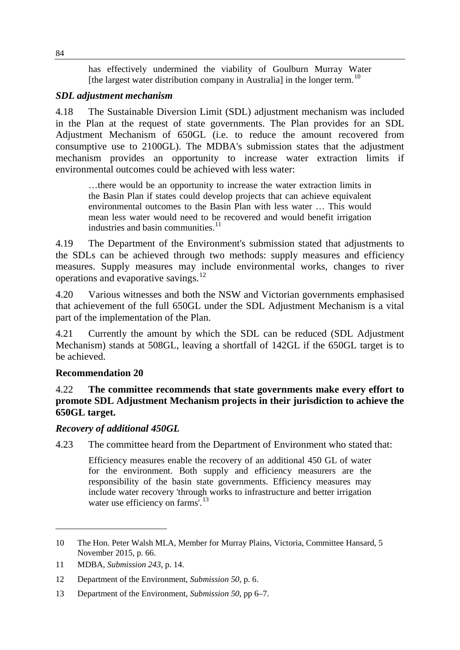has effectively undermined the viability of Goulburn Murray Water [the largest water distribution company in Australia] in the longer term.<sup>[10](#page-3-0)</sup>

## *SDL adjustment mechanism*

4.18 The Sustainable Diversion Limit (SDL) adjustment mechanism was included in the Plan at the request of state governments. The Plan provides for an SDL Adjustment Mechanism of 650GL (i.e. to reduce the amount recovered from consumptive use to 2100GL). The MDBA's submission states that the adjustment mechanism provides an opportunity to increase water extraction limits if environmental outcomes could be achieved with less water:

…there would be an opportunity to increase the water extraction limits in the Basin Plan if states could develop projects that can achieve equivalent environmental outcomes to the Basin Plan with less water … This would mean less water would need to be recovered and would benefit irrigation industries and basin communities.<sup>[11](#page-3-1)</sup>

4.19 The Department of the Environment's submission stated that adjustments to the SDLs can be achieved through two methods: supply measures and efficiency measures. Supply measures may include environmental works, changes to river operations and evaporative savings.[12](#page-3-2)

4.20 Various witnesses and both the NSW and Victorian governments emphasised that achievement of the full 650GL under the SDL Adjustment Mechanism is a vital part of the implementation of the Plan.

4.21 Currently the amount by which the SDL can be reduced (SDL Adjustment Mechanism) stands at 508GL, leaving a shortfall of 142GL if the 650GL target is to be achieved.

## **Recommendation 20**

4.22 **The committee recommends that state governments make every effort to promote SDL Adjustment Mechanism projects in their jurisdiction to achieve the 650GL target.** 

## *Recovery of additional 450GL*

4.23 The committee heard from the Department of Environment who stated that:

Efficiency measures enable the recovery of an additional 450 GL of water for the environment. Both supply and efficiency measurers are the responsibility of the basin state governments. Efficiency measures may include water recovery 'through works to infrastructure and better irrigation water use efficiency on farms'.<sup>[13](#page-3-3)</sup>

<span id="page-3-0"></span><sup>10</sup> The Hon. Peter Walsh MLA, Member for Murray Plains, Victoria, Committee Hansard, 5 November 2015, p. 66.

<span id="page-3-1"></span><sup>11</sup> MDBA, *Submission 243*, p. 14.

<span id="page-3-2"></span><sup>12</sup> Department of the Environment, *Submission 50*, p. 6.

<span id="page-3-3"></span><sup>13</sup> Department of the Environment, *Submission 50*, pp 6–7.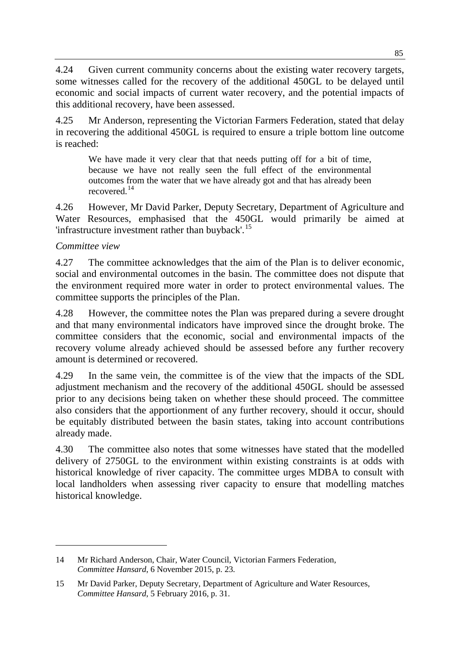4.24 Given current community concerns about the existing water recovery targets, some witnesses called for the recovery of the additional 450GL to be delayed until economic and social impacts of current water recovery, and the potential impacts of this additional recovery, have been assessed.

4.25 Mr Anderson, representing the Victorian Farmers Federation, stated that delay in recovering the additional 450GL is required to ensure a triple bottom line outcome is reached:

We have made it very clear that that needs putting off for a bit of time, because we have not really seen the full effect of the environmental outcomes from the water that we have already got and that has already been recovered.[14](#page-4-0)

4.26 However, Mr David Parker, Deputy Secretary, Department of Agriculture and Water Resources, emphasised that the 450GL would primarily be aimed at 'infrastructure investment rather than buyback'.[15](#page-4-1)

# *Committee view*

-

4.27 The committee acknowledges that the aim of the Plan is to deliver economic, social and environmental outcomes in the basin. The committee does not dispute that the environment required more water in order to protect environmental values. The committee supports the principles of the Plan.

4.28 However, the committee notes the Plan was prepared during a severe drought and that many environmental indicators have improved since the drought broke. The committee considers that the economic, social and environmental impacts of the recovery volume already achieved should be assessed before any further recovery amount is determined or recovered.

4.29 In the same vein, the committee is of the view that the impacts of the SDL adjustment mechanism and the recovery of the additional 450GL should be assessed prior to any decisions being taken on whether these should proceed. The committee also considers that the apportionment of any further recovery, should it occur, should be equitably distributed between the basin states, taking into account contributions already made.

4.30 The committee also notes that some witnesses have stated that the modelled delivery of 2750GL to the environment within existing constraints is at odds with historical knowledge of river capacity. The committee urges MDBA to consult with local landholders when assessing river capacity to ensure that modelling matches historical knowledge.

<span id="page-4-0"></span><sup>14</sup> Mr Richard Anderson, Chair, Water Council, Victorian Farmers Federation, *Committee Hansard*, 6 November 2015, p. 23.

<span id="page-4-1"></span><sup>15</sup> Mr David Parker, Deputy Secretary, Department of Agriculture and Water Resources, *Committee Hansard*, 5 February 2016, p. 31.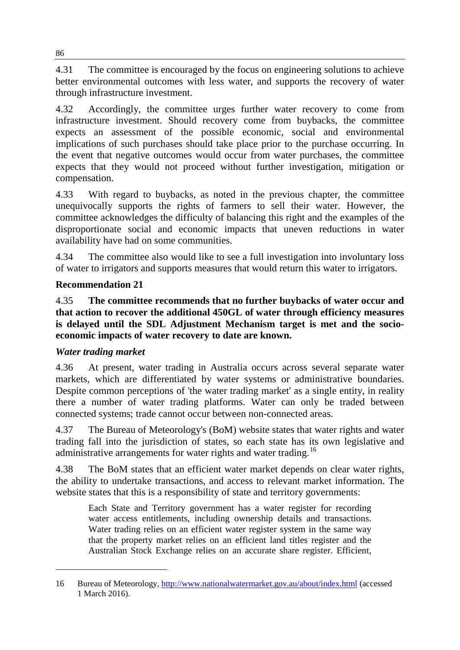4.31 The committee is encouraged by the focus on engineering solutions to achieve better environmental outcomes with less water, and supports the recovery of water through infrastructure investment.

4.32 Accordingly, the committee urges further water recovery to come from infrastructure investment. Should recovery come from buybacks, the committee expects an assessment of the possible economic, social and environmental implications of such purchases should take place prior to the purchase occurring. In the event that negative outcomes would occur from water purchases, the committee expects that they would not proceed without further investigation, mitigation or compensation.

4.33 With regard to buybacks, as noted in the previous chapter, the committee unequivocally supports the rights of farmers to sell their water. However, the committee acknowledges the difficulty of balancing this right and the examples of the disproportionate social and economic impacts that uneven reductions in water availability have had on some communities.

4.34 The committee also would like to see a full investigation into involuntary loss of water to irrigators and supports measures that would return this water to irrigators.

# **Recommendation 21**

4.35 **The committee recommends that no further buybacks of water occur and that action to recover the additional 450GL of water through efficiency measures is delayed until the SDL Adjustment Mechanism target is met and the socioeconomic impacts of water recovery to date are known.**

## *Water trading market*

-

4.36 At present, water trading in Australia occurs across several separate water markets, which are differentiated by water systems or administrative boundaries. Despite common perceptions of 'the water trading market' as a single entity, in reality there a number of water trading platforms. Water can only be traded between connected systems; trade cannot occur between non-connected areas.

4.37 The Bureau of Meteorology's (BoM) website states that water rights and water trading fall into the jurisdiction of states, so each state has its own legislative and administrative arrangements for water rights and water trading.<sup>[16](#page-5-0)</sup>

4.38 The BoM states that an efficient water market depends on clear water rights, the ability to undertake transactions, and access to relevant market information. The website states that this is a responsibility of state and territory governments:

Each State and Territory government has a water register for recording water access entitlements, including ownership details and transactions. Water trading relies on an efficient water register system in the same way that the property market relies on an efficient land titles register and the Australian Stock Exchange relies on an accurate share register. Efficient,

<span id="page-5-0"></span><sup>16</sup> Bureau of Meteorology,<http://www.nationalwatermarket.gov.au/about/index.html> (accessed 1 March 2016).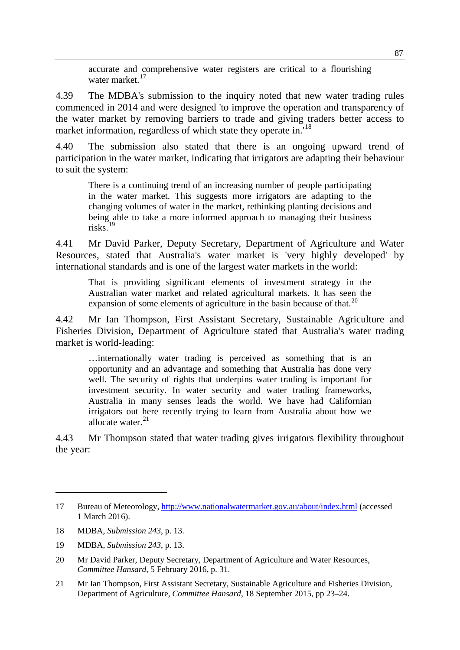accurate and comprehensive water registers are critical to a flourishing water market.<sup>[17](#page-6-0)</sup>

4.39 The MDBA's submission to the inquiry noted that new water trading rules commenced in 2014 and were designed 'to improve the operation and transparency of the water market by removing barriers to trade and giving traders better access to market information, regardless of which state they operate in.<sup>[18](#page-6-1)</sup>

4.40 The submission also stated that there is an ongoing upward trend of participation in the water market, indicating that irrigators are adapting their behaviour to suit the system:

There is a continuing trend of an increasing number of people participating in the water market. This suggests more irrigators are adapting to the changing volumes of water in the market, rethinking planting decisions and being able to take a more informed approach to managing their business risks $19$ 

4.41 Mr David Parker, Deputy Secretary, Department of Agriculture and Water Resources, stated that Australia's water market is 'very highly developed' by international standards and is one of the largest water markets in the world:

That is providing significant elements of investment strategy in the Australian water market and related agricultural markets. It has seen the expansion of some elements of agriculture in the basin because of that.<sup>[20](#page-6-3)</sup>

4.42 Mr Ian Thompson, First Assistant Secretary, Sustainable Agriculture and Fisheries Division, Department of Agriculture stated that Australia's water trading market is world-leading:

…internationally water trading is perceived as something that is an opportunity and an advantage and something that Australia has done very well. The security of rights that underpins water trading is important for investment security. In water security and water trading frameworks, Australia in many senses leads the world. We have had Californian irrigators out here recently trying to learn from Australia about how we allocate water. $^{21}$  $^{21}$  $^{21}$ 

4.43 Mr Thompson stated that water trading gives irrigators flexibility throughout the year:

<span id="page-6-0"></span><sup>17</sup> Bureau of Meteorology,<http://www.nationalwatermarket.gov.au/about/index.html> (accessed 1 March 2016).

<span id="page-6-1"></span><sup>18</sup> MDBA, *Submission 243*, p. 13.

<span id="page-6-2"></span><sup>19</sup> MDBA, *Submission 243*, p. 13.

<span id="page-6-3"></span><sup>20</sup> Mr David Parker, Deputy Secretary, Department of Agriculture and Water Resources, *Committee Hansard*, 5 February 2016, p. 31.

<span id="page-6-4"></span><sup>21</sup> Mr Ian Thompson, First Assistant Secretary, Sustainable Agriculture and Fisheries Division, Department of Agriculture, *Committee Hansard*, 18 September 2015, pp 23–24.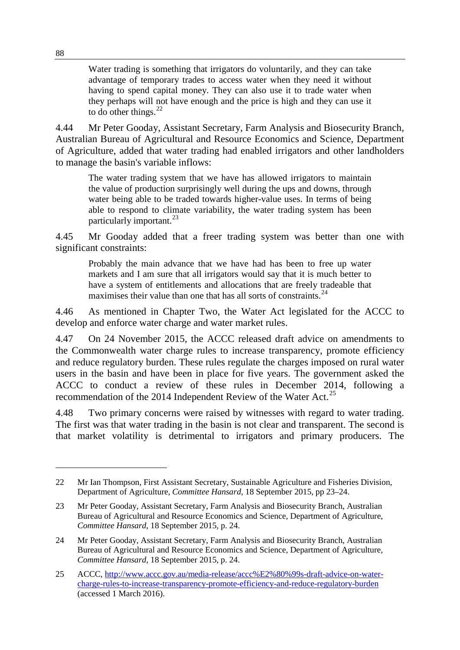Water trading is something that irrigators do voluntarily, and they can take advantage of temporary trades to access water when they need it without having to spend capital money. They can also use it to trade water when they perhaps will not have enough and the price is high and they can use it to do other things. $^{22}$  $^{22}$  $^{22}$ 

4.44 Mr Peter Gooday, Assistant Secretary, Farm Analysis and Biosecurity Branch, Australian Bureau of Agricultural and Resource Economics and Science, Department of Agriculture, added that water trading had enabled irrigators and other landholders to manage the basin's variable inflows:

The water trading system that we have has allowed irrigators to maintain the value of production surprisingly well during the ups and downs, through water being able to be traded towards higher-value uses. In terms of being able to respond to climate variability, the water trading system has been particularly important.  $23$ 

4.45 Mr Gooday added that a freer trading system was better than one with significant constraints:

Probably the main advance that we have had has been to free up water markets and I am sure that all irrigators would say that it is much better to have a system of entitlements and allocations that are freely tradeable that maximises their value than one that has all sorts of constraints.<sup>[24](#page-7-2)</sup>

4.46 As mentioned in Chapter Two, the Water Act legislated for the ACCC to develop and enforce water charge and water market rules.

4.47 On 24 November 2015, the ACCC released draft advice on amendments to the Commonwealth water charge rules to increase transparency, promote efficiency and reduce regulatory burden. These rules regulate the charges imposed on rural water users in the basin and have been in place for five years. The government asked the ACCC to conduct a review of these rules in December 2014, following a recommendation of the 2014 Independent Review of the Water Act.<sup>[25](#page-7-3)</sup>

4.48 Two primary concerns were raised by witnesses with regard to water trading. The first was that water trading in the basin is not clear and transparent. The second is that market volatility is detrimental to irrigators and primary producers. The

<span id="page-7-0"></span><sup>22</sup> Mr Ian Thompson, First Assistant Secretary, Sustainable Agriculture and Fisheries Division, Department of Agriculture, *Committee Hansard*, 18 September 2015, pp 23–24.

<span id="page-7-1"></span><sup>23</sup> Mr Peter Gooday, Assistant Secretary, Farm Analysis and Biosecurity Branch, Australian Bureau of Agricultural and Resource Economics and Science, Department of Agriculture, *Committee Hansard*, 18 September 2015, p. 24.

<span id="page-7-2"></span><sup>24</sup> Mr Peter Gooday, Assistant Secretary, Farm Analysis and Biosecurity Branch, Australian Bureau of Agricultural and Resource Economics and Science, Department of Agriculture, *Committee Hansard*, 18 September 2015, p. 24.

<span id="page-7-3"></span><sup>25</sup> ACCC, [http://www.accc.gov.au/media-release/accc%E2%80%99s-draft-advice-on-water](http://www.accc.gov.au/media-release/accc%E2%80%99s-draft-advice-on-water-charge-rules-to-increase-transparency-promote-efficiency-and-reduce-regulatory-burden)[charge-rules-to-increase-transparency-promote-efficiency-and-reduce-regulatory-burden](http://www.accc.gov.au/media-release/accc%E2%80%99s-draft-advice-on-water-charge-rules-to-increase-transparency-promote-efficiency-and-reduce-regulatory-burden) (accessed 1 March 2016).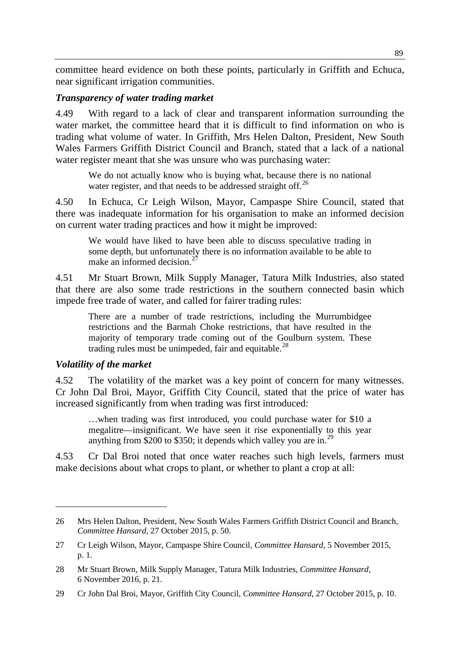committee heard evidence on both these points, particularly in Griffith and Echuca, near significant irrigation communities.

#### *Transparency of water trading market*

4.49 With regard to a lack of clear and transparent information surrounding the water market, the committee heard that it is difficult to find information on who is trading what volume of water. In Griffith, Mrs Helen Dalton, President, New South Wales Farmers Griffith District Council and Branch, stated that a lack of a national water register meant that she was unsure who was purchasing water:

We do not actually know who is buying what, because there is no national water register, and that needs to be addressed straight off.<sup>[26](#page-8-0)</sup>

4.50 In Echuca, Cr Leigh Wilson, Mayor, Campaspe Shire Council, stated that there was inadequate information for his organisation to make an informed decision on current water trading practices and how it might be improved:

We would have liked to have been able to discuss speculative trading in some depth, but unfortunately there is no information available to be able to make an informed decision. $27$ 

4.51 Mr Stuart Brown, Milk Supply Manager, Tatura Milk Industries, also stated that there are also some trade restrictions in the southern connected basin which impede free trade of water, and called for fairer trading rules:

There are a number of trade restrictions, including the Murrumbidgee restrictions and the Barmah Choke restrictions, that have resulted in the majority of temporary trade coming out of the Goulburn system. These trading rules must be unimpeded, fair and equitable.<sup>[28](#page-8-2)</sup>

#### *Volatility of the market*

-

4.52 The volatility of the market was a key point of concern for many witnesses. Cr John Dal Broi, Mayor, Griffith City Council, stated that the price of water has increased significantly from when trading was first introduced:

…when trading was first introduced, you could purchase water for \$10 a megalitre—insignificant. We have seen it rise exponentially to this year anything from \$200 to \$350; it depends which valley you are in.<sup>[29](#page-8-3)</sup>

4.53 Cr Dal Broi noted that once water reaches such high levels, farmers must make decisions about what crops to plant, or whether to plant a crop at all:

<span id="page-8-0"></span><sup>26</sup> Mrs Helen Dalton, President, New South Wales Farmers Griffith District Council and Branch, *Committee Hansard*, 27 October 2015, p. 50.

<span id="page-8-1"></span><sup>27</sup> Cr Leigh Wilson, Mayor, Campaspe Shire Council, *Committee Hansard*, 5 November 2015, p. 1.

<span id="page-8-2"></span><sup>28</sup> Mr Stuart Brown, Milk Supply Manager, Tatura Milk Industries, *Committee Hansard*, 6 November 2016, p. 21.

<span id="page-8-3"></span><sup>29</sup> Cr John Dal Broi, Mayor, Griffith City Council, *Committee Hansard*, 27 October 2015, p. 10.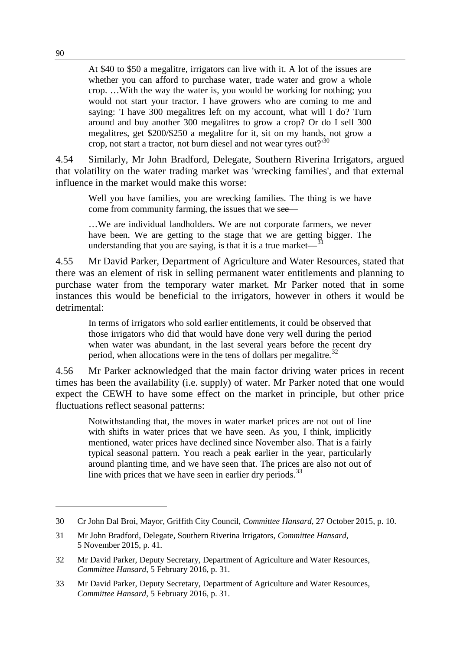At \$40 to \$50 a megalitre, irrigators can live with it. A lot of the issues are whether you can afford to purchase water, trade water and grow a whole crop. …With the way the water is, you would be working for nothing; you would not start your tractor. I have growers who are coming to me and saying: 'I have 300 megalitres left on my account, what will I do? Turn around and buy another 300 megalitres to grow a crop? Or do I sell 300 megalitres, get \$200/\$250 a megalitre for it, sit on my hands, not grow a crop, not start a tractor, not burn diesel and not wear tyres out? $130$  $130$ 

4.54 Similarly, Mr John Bradford, Delegate, Southern Riverina Irrigators, argued that volatility on the water trading market was 'wrecking families', and that external influence in the market would make this worse:

Well you have families, you are wrecking families. The thing is we have come from community farming, the issues that we see—

…We are individual landholders. We are not corporate farmers, we never have been. We are getting to the stage that we are getting bigger. The understanding that you are saying, is that it is a true market— $\overline{1}$ 

4.55 Mr David Parker, Department of Agriculture and Water Resources, stated that there was an element of risk in selling permanent water entitlements and planning to purchase water from the temporary water market. Mr Parker noted that in some instances this would be beneficial to the irrigators, however in others it would be detrimental:

In terms of irrigators who sold earlier entitlements, it could be observed that those irrigators who did that would have done very well during the period when water was abundant, in the last several years before the recent dry period, when allocations were in the tens of dollars per megalitre.<sup>[32](#page-9-2)</sup>

4.56 Mr Parker acknowledged that the main factor driving water prices in recent times has been the availability (i.e. supply) of water. Mr Parker noted that one would expect the CEWH to have some effect on the market in principle, but other price fluctuations reflect seasonal patterns:

Notwithstanding that, the moves in water market prices are not out of line with shifts in water prices that we have seen. As you, I think, implicitly mentioned, water prices have declined since November also. That is a fairly typical seasonal pattern. You reach a peak earlier in the year, particularly around planting time, and we have seen that. The prices are also not out of line with prices that we have seen in earlier dry periods. $^{33}$  $^{33}$  $^{33}$ 

<span id="page-9-0"></span><sup>30</sup> Cr John Dal Broi, Mayor, Griffith City Council, *Committee Hansard*, 27 October 2015, p. 10.

<span id="page-9-1"></span><sup>31</sup> Mr John Bradford, Delegate, Southern Riverina Irrigators, *Committee Hansard*, 5 November 2015, p. 41.

<span id="page-9-2"></span><sup>32</sup> Mr David Parker, Deputy Secretary, Department of Agriculture and Water Resources, *Committee Hansard*, 5 February 2016, p. 31.

<span id="page-9-3"></span><sup>33</sup> Mr David Parker, Deputy Secretary, Department of Agriculture and Water Resources, *Committee Hansard*, 5 February 2016, p. 31.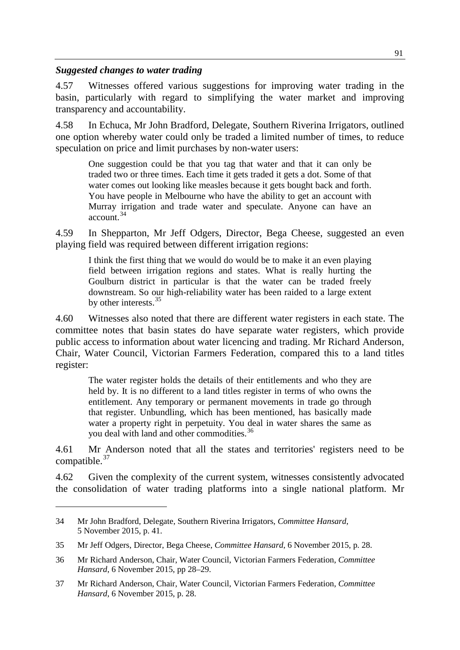#### *Suggested changes to water trading*

4.57 Witnesses offered various suggestions for improving water trading in the basin, particularly with regard to simplifying the water market and improving transparency and accountability.

4.58 In Echuca, Mr John Bradford, Delegate, Southern Riverina Irrigators, outlined one option whereby water could only be traded a limited number of times, to reduce speculation on price and limit purchases by non-water users:

One suggestion could be that you tag that water and that it can only be traded two or three times. Each time it gets traded it gets a dot. Some of that water comes out looking like measles because it gets bought back and forth. You have people in Melbourne who have the ability to get an account with Murray irrigation and trade water and speculate. Anyone can have an  $\arctan^3$ <sup>[34](#page-10-0)</sup>

4.59 In Shepparton, Mr Jeff Odgers, Director, Bega Cheese, suggested an even playing field was required between different irrigation regions:

I think the first thing that we would do would be to make it an even playing field between irrigation regions and states. What is really hurting the Goulburn district in particular is that the water can be traded freely downstream. So our high-reliability water has been raided to a large extent by other interests.[35](#page-10-1)

4.60 Witnesses also noted that there are different water registers in each state. The committee notes that basin states do have separate water registers, which provide public access to information about water licencing and trading. Mr Richard Anderson, Chair, Water Council, Victorian Farmers Federation, compared this to a land titles register:

The water register holds the details of their entitlements and who they are held by. It is no different to a land titles register in terms of who owns the entitlement. Any temporary or permanent movements in trade go through that register. Unbundling, which has been mentioned, has basically made water a property right in perpetuity. You deal in water shares the same as you deal with land and other commodities.<sup>[36](#page-10-2)</sup>

4.61 Mr Anderson noted that all the states and territories' registers need to be compatible.<sup>[37](#page-10-3)</sup>

4.62 Given the complexity of the current system, witnesses consistently advocated the consolidation of water trading platforms into a single national platform. Mr

<span id="page-10-0"></span><sup>34</sup> Mr John Bradford, Delegate, Southern Riverina Irrigators, *Committee Hansard*, 5 November 2015, p. 41.

<span id="page-10-1"></span><sup>35</sup> Mr Jeff Odgers, Director, Bega Cheese, *Committee Hansard*, 6 November 2015, p. 28.

<span id="page-10-2"></span><sup>36</sup> Mr Richard Anderson, Chair, Water Council, Victorian Farmers Federation, *Committee Hansard*, 6 November 2015, pp 28–29.

<span id="page-10-3"></span><sup>37</sup> Mr Richard Anderson, Chair, Water Council, Victorian Farmers Federation, *Committee Hansard*, 6 November 2015, p. 28.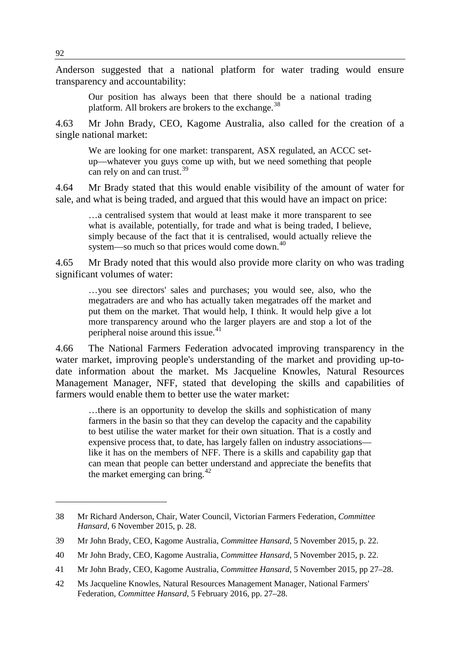Anderson suggested that a national platform for water trading would ensure transparency and accountability:

Our position has always been that there should be a national trading platform. All brokers are brokers to the exchange.<sup>[38](#page-11-0)</sup>

4.63 Mr John Brady, CEO, Kagome Australia, also called for the creation of a single national market:

We are looking for one market: transparent, ASX regulated, an ACCC setup—whatever you guys come up with, but we need something that people can rely on and can trust.<sup>[39](#page-11-1)</sup>

4.64 Mr Brady stated that this would enable visibility of the amount of water for sale, and what is being traded, and argued that this would have an impact on price:

…a centralised system that would at least make it more transparent to see what is available, potentially, for trade and what is being traded, I believe, simply because of the fact that it is centralised, would actually relieve the system—so much so that prices would come down.<sup>[40](#page-11-2)</sup>

4.65 Mr Brady noted that this would also provide more clarity on who was trading significant volumes of water:

…you see directors' sales and purchases; you would see, also, who the megatraders are and who has actually taken megatrades off the market and put them on the market. That would help, I think. It would help give a lot more transparency around who the larger players are and stop a lot of the peripheral noise around this issue.<sup>[41](#page-11-3)</sup>

4.66 The National Farmers Federation advocated improving transparency in the water market, improving people's understanding of the market and providing up-todate information about the market. Ms Jacqueline Knowles, Natural Resources Management Manager, NFF, stated that developing the skills and capabilities of farmers would enable them to better use the water market:

…there is an opportunity to develop the skills and sophistication of many farmers in the basin so that they can develop the capacity and the capability to best utilise the water market for their own situation. That is a costly and expensive process that, to date, has largely fallen on industry associations like it has on the members of NFF. There is a skills and capability gap that can mean that people can better understand and appreciate the benefits that the market emerging can bring. $42$ 

<span id="page-11-0"></span><sup>38</sup> Mr Richard Anderson, Chair, Water Council, Victorian Farmers Federation, *Committee Hansard*, 6 November 2015, p. 28.

<span id="page-11-1"></span><sup>39</sup> Mr John Brady, CEO, Kagome Australia, *Committee Hansard*, 5 November 2015, p. 22.

<span id="page-11-2"></span><sup>40</sup> Mr John Brady, CEO, Kagome Australia, *Committee Hansard*, 5 November 2015, p. 22.

<span id="page-11-3"></span><sup>41</sup> Mr John Brady, CEO, Kagome Australia, *Committee Hansard*, 5 November 2015, pp 27–28.

<span id="page-11-4"></span><sup>42</sup> Ms Jacqueline Knowles, Natural Resources Management Manager, National Farmers' Federation, *Committee Hansard*, 5 February 2016, pp. 27–28.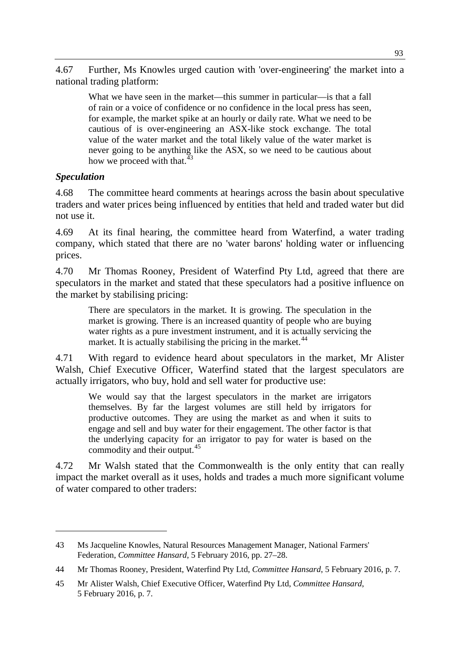4.67 Further, Ms Knowles urged caution with 'over-engineering' the market into a national trading platform:

What we have seen in the market—this summer in particular—is that a fall of rain or a voice of confidence or no confidence in the local press has seen, for example, the market spike at an hourly or daily rate. What we need to be cautious of is over-engineering an ASX-like stock exchange. The total value of the water market and the total likely value of the water market is never going to be anything like the ASX, so we need to be cautious about how we proceed with that.<sup>4</sup>

## *Speculation*

-

4.68 The committee heard comments at hearings across the basin about speculative traders and water prices being influenced by entities that held and traded water but did not use it.

4.69 At its final hearing, the committee heard from Waterfind, a water trading company, which stated that there are no 'water barons' holding water or influencing prices.

4.70 Mr Thomas Rooney, President of Waterfind Pty Ltd, agreed that there are speculators in the market and stated that these speculators had a positive influence on the market by stabilising pricing:

There are speculators in the market. It is growing. The speculation in the market is growing. There is an increased quantity of people who are buying water rights as a pure investment instrument, and it is actually servicing the market. It is actually stabilising the pricing in the market.  $44$ 

4.71 With regard to evidence heard about speculators in the market, Mr Alister Walsh, Chief Executive Officer, Waterfind stated that the largest speculators are actually irrigators, who buy, hold and sell water for productive use:

We would say that the largest speculators in the market are irrigators themselves. By far the largest volumes are still held by irrigators for productive outcomes. They are using the market as and when it suits to engage and sell and buy water for their engagement. The other factor is that the underlying capacity for an irrigator to pay for water is based on the commodity and their output.<sup>[45](#page-12-2)</sup>

4.72 Mr Walsh stated that the Commonwealth is the only entity that can really impact the market overall as it uses, holds and trades a much more significant volume of water compared to other traders:

<span id="page-12-0"></span><sup>43</sup> Ms Jacqueline Knowles, Natural Resources Management Manager, National Farmers' Federation, *Committee Hansard*, 5 February 2016, pp. 27–28.

<span id="page-12-1"></span><sup>44</sup> Mr Thomas Rooney, President, Waterfind Pty Ltd, *Committee Hansard*, 5 February 2016, p. 7.

<span id="page-12-2"></span><sup>45</sup> Mr Alister Walsh, Chief Executive Officer, Waterfind Pty Ltd, *Committee Hansard*, 5 February 2016, p. 7.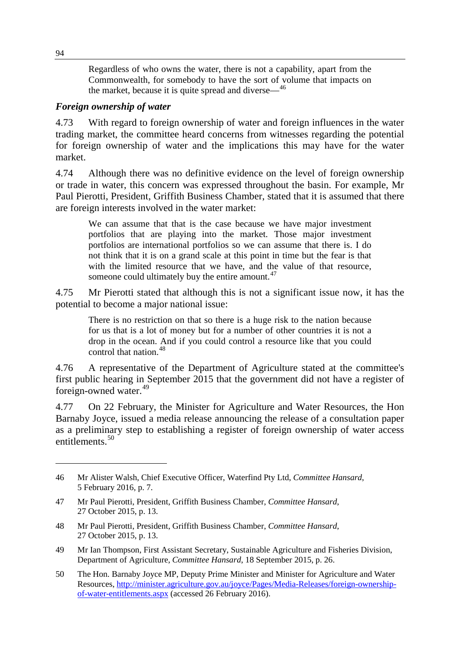Regardless of who owns the water, there is not a capability, apart from the Commonwealth, for somebody to have the sort of volume that impacts on the market, because it is quite spread and diverse—[46](#page-13-0)

#### *Foreign ownership of water*

4.73 With regard to foreign ownership of water and foreign influences in the water trading market, the committee heard concerns from witnesses regarding the potential for foreign ownership of water and the implications this may have for the water market.

4.74 Although there was no definitive evidence on the level of foreign ownership or trade in water, this concern was expressed throughout the basin. For example, Mr Paul Pierotti, President, Griffith Business Chamber, stated that it is assumed that there are foreign interests involved in the water market:

We can assume that that is the case because we have major investment portfolios that are playing into the market. Those major investment portfolios are international portfolios so we can assume that there is. I do not think that it is on a grand scale at this point in time but the fear is that with the limited resource that we have, and the value of that resource, someone could ultimately buy the entire amount.<sup>[47](#page-13-1)</sup>

4.75 Mr Pierotti stated that although this is not a significant issue now, it has the potential to become a major national issue:

There is no restriction on that so there is a huge risk to the nation because for us that is a lot of money but for a number of other countries it is not a drop in the ocean. And if you could control a resource like that you could control that nation.[48](#page-13-2)

4.76 A representative of the Department of Agriculture stated at the committee's first public hearing in September 2015 that the government did not have a register of foreign-owned water. $49$ 

4.77 On 22 February, the Minister for Agriculture and Water Resources, the Hon Barnaby Joyce, issued a media release announcing the release of a consultation paper as a preliminary step to establishing a register of foreign ownership of water access entitlements.<sup>[50](#page-13-4)</sup>

- <span id="page-13-2"></span>48 Mr Paul Pierotti, President, Griffith Business Chamber, *Committee Hansard*, 27 October 2015, p. 13.
- <span id="page-13-3"></span>49 Mr Ian Thompson, First Assistant Secretary, Sustainable Agriculture and Fisheries Division, Department of Agriculture, *Committee Hansard*, 18 September 2015, p. 26.
- <span id="page-13-4"></span>50 The Hon. Barnaby Joyce MP, Deputy Prime Minister and Minister for Agriculture and Water Resources, [http://minister.agriculture.gov.au/joyce/Pages/Media-Releases/foreign-ownership](http://minister.agriculture.gov.au/joyce/Pages/Media-Releases/foreign-ownership-of-water-entitlements.aspx)[of-water-entitlements.aspx](http://minister.agriculture.gov.au/joyce/Pages/Media-Releases/foreign-ownership-of-water-entitlements.aspx) (accessed 26 February 2016).

<span id="page-13-0"></span><sup>46</sup> Mr Alister Walsh, Chief Executive Officer, Waterfind Pty Ltd, *Committee Hansard*, 5 February 2016, p. 7.

<span id="page-13-1"></span><sup>47</sup> Mr Paul Pierotti, President, Griffith Business Chamber, *Committee Hansard*, 27 October 2015, p. 13.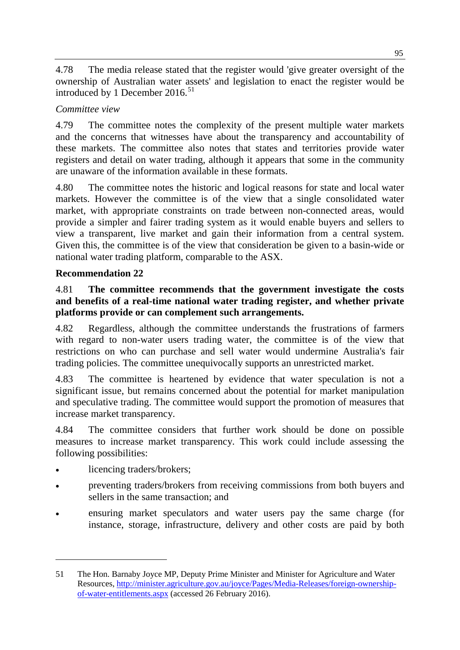4.78 The media release stated that the register would 'give greater oversight of the ownership of Australian water assets' and legislation to enact the register would be introduced by 1 December  $2016$ <sup>[51](#page-14-0)</sup>

# *Committee view*

4.79 The committee notes the complexity of the present multiple water markets and the concerns that witnesses have about the transparency and accountability of these markets. The committee also notes that states and territories provide water registers and detail on water trading, although it appears that some in the community are unaware of the information available in these formats.

4.80 The committee notes the historic and logical reasons for state and local water markets. However the committee is of the view that a single consolidated water market, with appropriate constraints on trade between non-connected areas, would provide a simpler and fairer trading system as it would enable buyers and sellers to view a transparent, live market and gain their information from a central system. Given this, the committee is of the view that consideration be given to a basin-wide or national water trading platform, comparable to the ASX.

# **Recommendation 22**

# 4.81 **The committee recommends that the government investigate the costs and benefits of a real-time national water trading register, and whether private platforms provide or can complement such arrangements.**

4.82 Regardless, although the committee understands the frustrations of farmers with regard to non-water users trading water, the committee is of the view that restrictions on who can purchase and sell water would undermine Australia's fair trading policies. The committee unequivocally supports an unrestricted market.

4.83 The committee is heartened by evidence that water speculation is not a significant issue, but remains concerned about the potential for market manipulation and speculative trading. The committee would support the promotion of measures that increase market transparency.

4.84 The committee considers that further work should be done on possible measures to increase market transparency. This work could include assessing the following possibilities:

licencing traders/brokers:

- preventing traders/brokers from receiving commissions from both buyers and sellers in the same transaction; and
- ensuring market speculators and water users pay the same charge (for instance, storage, infrastructure, delivery and other costs are paid by both

<span id="page-14-0"></span><sup>51</sup> The Hon. Barnaby Joyce MP, Deputy Prime Minister and Minister for Agriculture and Water Resources, [http://minister.agriculture.gov.au/joyce/Pages/Media-Releases/foreign-ownership](http://minister.agriculture.gov.au/joyce/Pages/Media-Releases/foreign-ownership-of-water-entitlements.aspx)[of-water-entitlements.aspx](http://minister.agriculture.gov.au/joyce/Pages/Media-Releases/foreign-ownership-of-water-entitlements.aspx) (accessed 26 February 2016).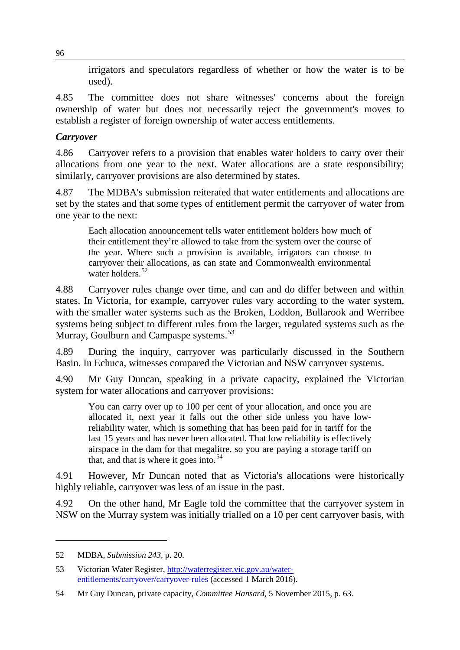irrigators and speculators regardless of whether or how the water is to be used).

4.85 The committee does not share witnesses' concerns about the foreign ownership of water but does not necessarily reject the government's moves to establish a register of foreign ownership of water access entitlements.

# *Carryover*

4.86 Carryover refers to a provision that enables water holders to carry over their allocations from one year to the next. Water allocations are a state responsibility; similarly, carryover provisions are also determined by states.

4.87 The MDBA's submission reiterated that water entitlements and allocations are set by the states and that some types of entitlement permit the carryover of water from one year to the next:

Each allocation announcement tells water entitlement holders how much of their entitlement they're allowed to take from the system over the course of the year. Where such a provision is available, irrigators can choose to carryover their allocations, as can state and Commonwealth environmental water holders.<sup>[52](#page-15-0)</sup>

4.88 Carryover rules change over time, and can and do differ between and within states. In Victoria, for example, carryover rules vary according to the water system, with the smaller water systems such as the Broken, Loddon, Bullarook and Werribee systems being subject to different rules from the larger, regulated systems such as the Murray, Goulburn and Campaspe systems.<sup>[53](#page-15-1)</sup>

4.89 During the inquiry, carryover was particularly discussed in the Southern Basin. In Echuca, witnesses compared the Victorian and NSW carryover systems.

4.90 Mr Guy Duncan, speaking in a private capacity, explained the Victorian system for water allocations and carryover provisions:

You can carry over up to 100 per cent of your allocation, and once you are allocated it, next year it falls out the other side unless you have lowreliability water, which is something that has been paid for in tariff for the last 15 years and has never been allocated. That low reliability is effectively airspace in the dam for that megalitre, so you are paying a storage tariff on that, and that is where it goes into.<sup>[54](#page-15-2)</sup>

4.91 However, Mr Duncan noted that as Victoria's allocations were historically highly reliable, carryover was less of an issue in the past.

4.92 On the other hand, Mr Eagle told the committee that the carryover system in NSW on the Murray system was initially trialled on a 10 per cent carryover basis, with

<span id="page-15-0"></span><sup>52</sup> MDBA, *Submission 243*, p. 20.

<span id="page-15-1"></span><sup>53</sup> Victorian Water Register, [http://waterregister.vic.gov.au/water](http://waterregister.vic.gov.au/water-entitlements/carryover/carryover-rules)[entitlements/carryover/carryover-rules](http://waterregister.vic.gov.au/water-entitlements/carryover/carryover-rules) (accessed 1 March 2016).

<span id="page-15-2"></span><sup>54</sup> Mr Guy Duncan, private capacity, *Committee Hansard*, 5 November 2015, p. 63.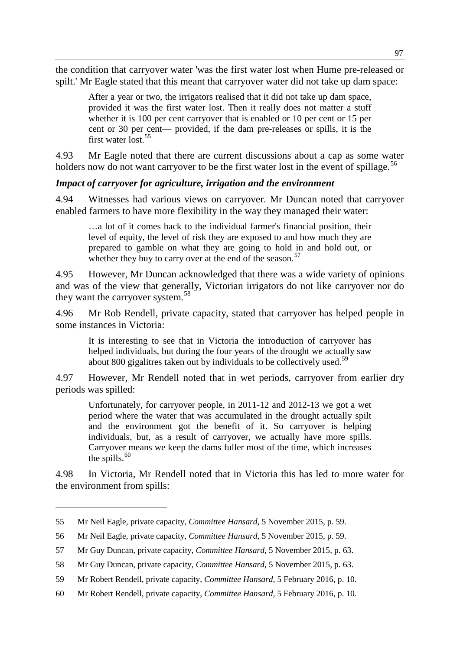the condition that carryover water 'was the first water lost when Hume pre-released or spilt.' Mr Eagle stated that this meant that carryover water did not take up dam space:

After a year or two, the irrigators realised that it did not take up dam space, provided it was the first water lost. Then it really does not matter a stuff whether it is 100 per cent carryover that is enabled or 10 per cent or 15 per cent or 30 per cent— provided, if the dam pre-releases or spills, it is the first water lost.[55](#page-16-0)

4.93 Mr Eagle noted that there are current discussions about a cap as some water holders now do not want carryover to be the first water lost in the event of spillage.<sup>[56](#page-16-1)</sup>

### *Impact of carryover for agriculture, irrigation and the environment*

4.94 Witnesses had various views on carryover. Mr Duncan noted that carryover enabled farmers to have more flexibility in the way they managed their water:

…a lot of it comes back to the individual farmer's financial position, their level of equity, the level of risk they are exposed to and how much they are prepared to gamble on what they are going to hold in and hold out, or whether they buy to carry over at the end of the season.<sup>[57](#page-16-2)</sup>

4.95 However, Mr Duncan acknowledged that there was a wide variety of opinions and was of the view that generally, Victorian irrigators do not like carryover nor do they want the carryover system.<sup>[58](#page-16-3)</sup>

4.96 Mr Rob Rendell, private capacity, stated that carryover has helped people in some instances in Victoria:

It is interesting to see that in Victoria the introduction of carryover has helped individuals, but during the four years of the drought we actually saw about 800 gigalitres taken out by individuals to be collectively used.<sup>[59](#page-16-4)</sup>

4.97 However, Mr Rendell noted that in wet periods, carryover from earlier dry periods was spilled:

Unfortunately, for carryover people, in 2011-12 and 2012-13 we got a wet period where the water that was accumulated in the drought actually spilt and the environment got the benefit of it. So carryover is helping individuals, but, as a result of carryover, we actually have more spills. Carryover means we keep the dams fuller most of the time, which increases the spills. $60$ 

4.98 In Victoria, Mr Rendell noted that in Victoria this has led to more water for the environment from spills:

<span id="page-16-0"></span><sup>55</sup> Mr Neil Eagle, private capacity, *Committee Hansard*, 5 November 2015, p. 59.

<span id="page-16-1"></span><sup>56</sup> Mr Neil Eagle, private capacity, *Committee Hansard*, 5 November 2015, p. 59.

<span id="page-16-2"></span><sup>57</sup> Mr Guy Duncan, private capacity, *Committee Hansard*, 5 November 2015, p. 63.

<span id="page-16-3"></span><sup>58</sup> Mr Guy Duncan, private capacity, *Committee Hansard*, 5 November 2015, p. 63.

<span id="page-16-4"></span><sup>59</sup> Mr Robert Rendell, private capacity, *Committee Hansard*, 5 February 2016, p. 10.

<span id="page-16-5"></span><sup>60</sup> Mr Robert Rendell, private capacity, *Committee Hansard*, 5 February 2016, p. 10.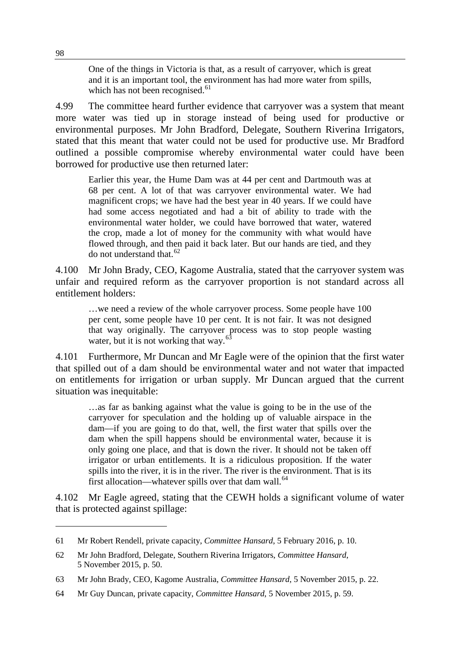One of the things in Victoria is that, as a result of carryover, which is great and it is an important tool, the environment has had more water from spills, which has not been recognised.<sup>[61](#page-17-0)</sup>

4.99 The committee heard further evidence that carryover was a system that meant more water was tied up in storage instead of being used for productive or environmental purposes. Mr John Bradford, Delegate, Southern Riverina Irrigators, stated that this meant that water could not be used for productive use. Mr Bradford outlined a possible compromise whereby environmental water could have been borrowed for productive use then returned later:

Earlier this year, the Hume Dam was at 44 per cent and Dartmouth was at 68 per cent. A lot of that was carryover environmental water. We had magnificent crops; we have had the best year in 40 years. If we could have had some access negotiated and had a bit of ability to trade with the environmental water holder, we could have borrowed that water, watered the crop, made a lot of money for the community with what would have flowed through, and then paid it back later. But our hands are tied, and they do not understand that.<sup>[62](#page-17-1)</sup>

4.100 Mr John Brady, CEO, Kagome Australia, stated that the carryover system was unfair and required reform as the carryover proportion is not standard across all entitlement holders:

…we need a review of the whole carryover process. Some people have 100 per cent, some people have 10 per cent. It is not fair. It was not designed that way originally. The carryover process was to stop people wasting water, but it is not working that way. $63$ 

4.101 Furthermore, Mr Duncan and Mr Eagle were of the opinion that the first water that spilled out of a dam should be environmental water and not water that impacted on entitlements for irrigation or urban supply. Mr Duncan argued that the current situation was inequitable:

…as far as banking against what the value is going to be in the use of the carryover for speculation and the holding up of valuable airspace in the dam—if you are going to do that, well, the first water that spills over the dam when the spill happens should be environmental water, because it is only going one place, and that is down the river. It should not be taken off irrigator or urban entitlements. It is a ridiculous proposition. If the water spills into the river, it is in the river. The river is the environment. That is its first allocation—whatever spills over that dam wall.<sup>[64](#page-17-3)</sup>

4.102 Mr Eagle agreed, stating that the CEWH holds a significant volume of water that is protected against spillage:

<span id="page-17-0"></span><sup>61</sup> Mr Robert Rendell, private capacity, *Committee Hansard*, 5 February 2016, p. 10.

<span id="page-17-1"></span><sup>62</sup> Mr John Bradford, Delegate, Southern Riverina Irrigators, *Committee Hansard*, 5 November 2015, p. 50.

<span id="page-17-2"></span><sup>63</sup> Mr John Brady, CEO, Kagome Australia, *Committee Hansard*, 5 November 2015, p. 22.

<span id="page-17-3"></span><sup>64</sup> Mr Guy Duncan, private capacity, *Committee Hansard*, 5 November 2015, p. 59.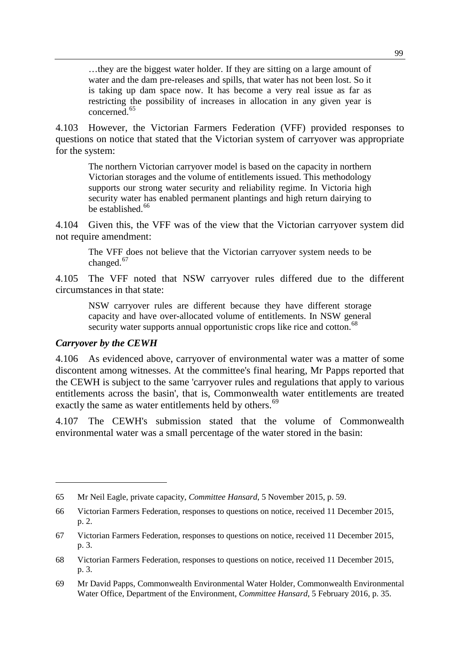…they are the biggest water holder. If they are sitting on a large amount of water and the dam pre-releases and spills, that water has not been lost. So it is taking up dam space now. It has become a very real issue as far as restricting the possibility of increases in allocation in any given year is concerned.[65](#page-18-0)

4.103 However, the Victorian Farmers Federation (VFF) provided responses to questions on notice that stated that the Victorian system of carryover was appropriate for the system:

The northern Victorian carryover model is based on the capacity in northern Victorian storages and the volume of entitlements issued. This methodology supports our strong water security and reliability regime. In Victoria high security water has enabled permanent plantings and high return dairying to  $be established<sup>66</sup>$  $be established<sup>66</sup>$  $be established<sup>66</sup>$ 

4.104 Given this, the VFF was of the view that the Victorian carryover system did not require amendment:

The VFF does not believe that the Victorian carryover system needs to be changed.<sup>[67](#page-18-2)</sup>

4.105 The VFF noted that NSW carryover rules differed due to the different circumstances in that state:

NSW carryover rules are different because they have different storage capacity and have over-allocated volume of entitlements. In NSW general security water supports annual opportunistic crops like rice and cotton.<sup>[68](#page-18-3)</sup>

#### *Carryover by the CEWH*

-

4.106 As evidenced above, carryover of environmental water was a matter of some discontent among witnesses. At the committee's final hearing, Mr Papps reported that the CEWH is subject to the same 'carryover rules and regulations that apply to various entitlements across the basin', that is, Commonwealth water entitlements are treated exactly the same as water entitlements held by others.<sup>[69](#page-18-4)</sup>

4.107 The CEWH's submission stated that the volume of Commonwealth environmental water was a small percentage of the water stored in the basin:

<span id="page-18-0"></span><sup>65</sup> Mr Neil Eagle, private capacity, *Committee Hansard*, 5 November 2015, p. 59.

<span id="page-18-1"></span><sup>66</sup> Victorian Farmers Federation, responses to questions on notice, received 11 December 2015, p. 2.

<span id="page-18-2"></span><sup>67</sup> Victorian Farmers Federation, responses to questions on notice, received 11 December 2015, p. 3.

<span id="page-18-3"></span><sup>68</sup> Victorian Farmers Federation, responses to questions on notice, received 11 December 2015, p. 3.

<span id="page-18-4"></span><sup>69</sup> Mr David Papps, Commonwealth Environmental Water Holder, Commonwealth Environmental Water Office, Department of the Environment, *Committee Hansard*, 5 February 2016, p. 35.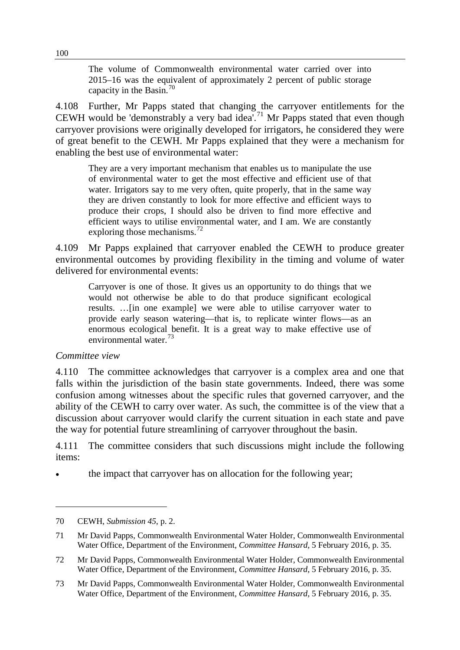The volume of Commonwealth environmental water carried over into 2015–16 was the equivalent of approximately 2 percent of public storage capacity in the Basin.<sup>[70](#page-19-0)</sup>

4.108 Further, Mr Papps stated that changing the carryover entitlements for the CEWH would be 'demonstrably a very bad idea'.<sup>[71](#page-19-1)</sup> Mr Papps stated that even though carryover provisions were originally developed for irrigators, he considered they were of great benefit to the CEWH. Mr Papps explained that they were a mechanism for enabling the best use of environmental water:

They are a very important mechanism that enables us to manipulate the use of environmental water to get the most effective and efficient use of that water. Irrigators say to me very often, quite properly, that in the same way they are driven constantly to look for more effective and efficient ways to produce their crops, I should also be driven to find more effective and efficient ways to utilise environmental water, and I am. We are constantly exploring those mechanisms.<sup>[72](#page-19-2)</sup>

4.109 Mr Papps explained that carryover enabled the CEWH to produce greater environmental outcomes by providing flexibility in the timing and volume of water delivered for environmental events:

Carryover is one of those. It gives us an opportunity to do things that we would not otherwise be able to do that produce significant ecological results. …[in one example] we were able to utilise carryover water to provide early season watering—that is, to replicate winter flows—as an enormous ecological benefit. It is a great way to make effective use of environmental water.<sup>[73](#page-19-3)</sup>

#### *Committee view*

-

4.110 The committee acknowledges that carryover is a complex area and one that falls within the jurisdiction of the basin state governments. Indeed, there was some confusion among witnesses about the specific rules that governed carryover, and the ability of the CEWH to carry over water. As such, the committee is of the view that a discussion about carryover would clarify the current situation in each state and pave the way for potential future streamlining of carryover throughout the basin.

4.111 The committee considers that such discussions might include the following items:

• the impact that carryover has on allocation for the following year;

<span id="page-19-0"></span><sup>70</sup> CEWH, *Submission 45*, p. 2.

<span id="page-19-1"></span><sup>71</sup> Mr David Papps, Commonwealth Environmental Water Holder, Commonwealth Environmental Water Office, Department of the Environment, *Committee Hansard*, 5 February 2016, p. 35.

<span id="page-19-2"></span><sup>72</sup> Mr David Papps, Commonwealth Environmental Water Holder, Commonwealth Environmental Water Office, Department of the Environment, *Committee Hansard*, 5 February 2016, p. 35.

<span id="page-19-3"></span><sup>73</sup> Mr David Papps, Commonwealth Environmental Water Holder, Commonwealth Environmental Water Office, Department of the Environment, *Committee Hansard*, 5 February 2016, p. 35.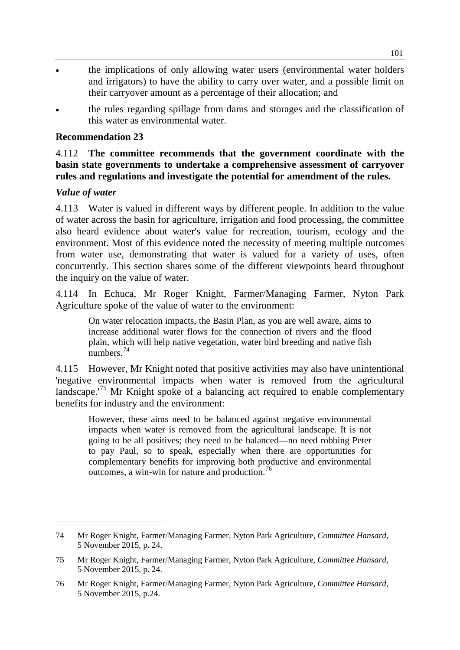- the implications of only allowing water users (environmental water holders and irrigators) to have the ability to carry over water, and a possible limit on their carryover amount as a percentage of their allocation; and
- the rules regarding spillage from dams and storages and the classification of this water as environmental water.

## **Recommendation 23**

## 4.112 **The committee recommends that the government coordinate with the basin state governments to undertake a comprehensive assessment of carryover rules and regulations and investigate the potential for amendment of the rules.**

### *Value of water*

-

4.113 Water is valued in different ways by different people. In addition to the value of water across the basin for agriculture, irrigation and food processing, the committee also heard evidence about water's value for recreation, tourism, ecology and the environment. Most of this evidence noted the necessity of meeting multiple outcomes from water use, demonstrating that water is valued for a variety of uses, often concurrently. This section shares some of the different viewpoints heard throughout the inquiry on the value of water.

4.114 In Echuca, Mr Roger Knight, Farmer/Managing Farmer, Nyton Park Agriculture spoke of the value of water to the environment:

On water relocation impacts, the Basin Plan, as you are well aware, aims to increase additional water flows for the connection of rivers and the flood plain, which will help native vegetation, water bird breeding and native fish numbers.<sup>[74](#page-20-0)</sup>

4.115 However, Mr Knight noted that positive activities may also have unintentional 'negative environmental impacts when water is removed from the agricultural landscape.'[75](#page-20-1) Mr Knight spoke of a balancing act required to enable complementary benefits for industry and the environment:

However, these aims need to be balanced against negative environmental impacts when water is removed from the agricultural landscape. It is not going to be all positives; they need to be balanced—no need robbing Peter to pay Paul, so to speak, especially when there are opportunities for complementary benefits for improving both productive and environmental outcomes, a win-win for nature and production.<sup>[76](#page-20-2)</sup>

<span id="page-20-0"></span><sup>74</sup> Mr Roger Knight, Farmer/Managing Farmer, Nyton Park Agriculture, *Committee Hansard*, 5 November 2015, p. 24.

<span id="page-20-1"></span><sup>75</sup> Mr Roger Knight, Farmer/Managing Farmer, Nyton Park Agriculture, *Committee Hansard*, 5 November 2015, p. 24.

<span id="page-20-2"></span><sup>76</sup> Mr Roger Knight, Farmer/Managing Farmer, Nyton Park Agriculture, *Committee Hansard*, 5 November 2015, p.24.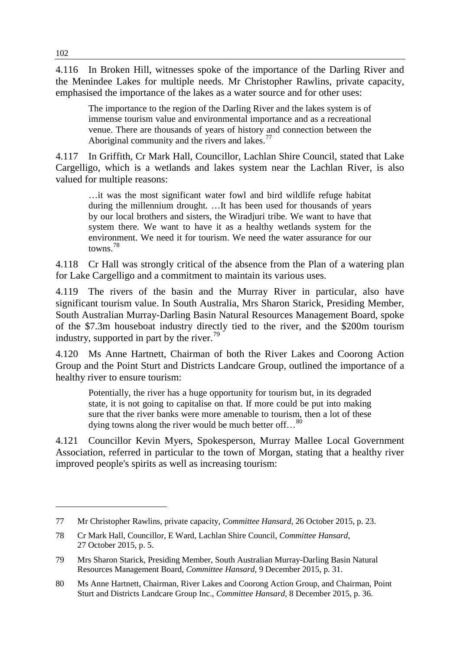4.116 In Broken Hill, witnesses spoke of the importance of the Darling River and the Menindee Lakes for multiple needs. Mr Christopher Rawlins, private capacity, emphasised the importance of the lakes as a water source and for other uses:

The importance to the region of the Darling River and the lakes system is of immense tourism value and environmental importance and as a recreational venue. There are thousands of years of history and connection between the Aboriginal community and the rivers and lakes.<sup>[77](#page-21-0)</sup>

4.117 In Griffith, Cr Mark Hall, Councillor, Lachlan Shire Council, stated that Lake Cargelligo, which is a wetlands and lakes system near the Lachlan River, is also valued for multiple reasons:

…it was the most significant water fowl and bird wildlife refuge habitat during the millennium drought. …It has been used for thousands of years by our local brothers and sisters, the Wiradjuri tribe. We want to have that system there. We want to have it as a healthy wetlands system for the environment. We need it for tourism. We need the water assurance for our towns.[78](#page-21-1)

4.118 Cr Hall was strongly critical of the absence from the Plan of a watering plan for Lake Cargelligo and a commitment to maintain its various uses.

4.119 The rivers of the basin and the Murray River in particular, also have significant tourism value. In South Australia, Mrs Sharon Starick, Presiding Member, South Australian Murray-Darling Basin Natural Resources Management Board, spoke of the \$7.3m houseboat industry directly tied to the river, and the \$200m tourism industry, supported in part by the river.<sup>[79](#page-21-2)</sup>

4.120 Ms Anne Hartnett, Chairman of both the River Lakes and Coorong Action Group and the Point Sturt and Districts Landcare Group, outlined the importance of a healthy river to ensure tourism:

Potentially, the river has a huge opportunity for tourism but, in its degraded state, it is not going to capitalise on that. If more could be put into making sure that the river banks were more amenable to tourism, then a lot of these dying towns along the river would be much better off... $^{80}$  $^{80}$  $^{80}$ 

4.121 Councillor Kevin Myers, Spokesperson, Murray Mallee Local Government Association, referred in particular to the town of Morgan, stating that a healthy river improved people's spirits as well as increasing tourism:

<span id="page-21-0"></span><sup>77</sup> Mr Christopher Rawlins, private capacity, *Committee Hansard*, 26 October 2015, p. 23.

<span id="page-21-1"></span><sup>78</sup> Cr Mark Hall, Councillor, E Ward, Lachlan Shire Council, *Committee Hansard*, 27 October 2015, p. 5.

<span id="page-21-2"></span><sup>79</sup> Mrs Sharon Starick, Presiding Member, South Australian Murray-Darling Basin Natural Resources Management Board, *Committee Hansard*, 9 December 2015, p. 31.

<span id="page-21-3"></span><sup>80</sup> Ms Anne Hartnett, Chairman, River Lakes and Coorong Action Group, and Chairman, Point Sturt and Districts Landcare Group Inc., *Committee Hansard*, 8 December 2015, p. 36.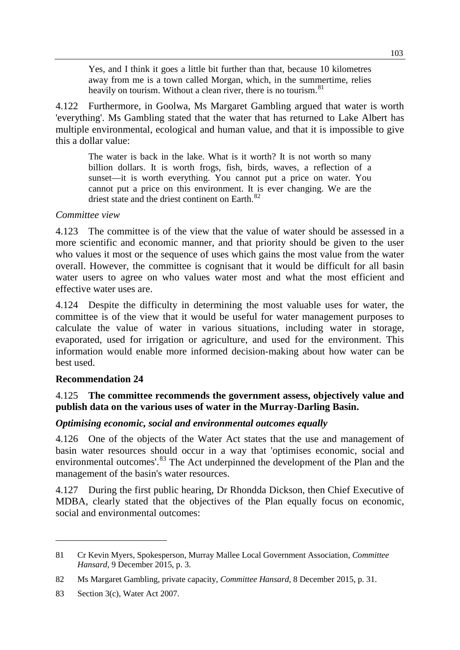Yes, and I think it goes a little bit further than that, because 10 kilometres away from me is a town called Morgan, which, in the summertime, relies heavily on tourism. Without a clean river, there is no tourism.<sup>[81](#page-22-0)</sup>

4.122 Furthermore, in Goolwa, Ms Margaret Gambling argued that water is worth 'everything'. Ms Gambling stated that the water that has returned to Lake Albert has multiple environmental, ecological and human value, and that it is impossible to give this a dollar value:

The water is back in the lake. What is it worth? It is not worth so many billion dollars. It is worth frogs, fish, birds, waves, a reflection of a sunset—it is worth everything. You cannot put a price on water. You cannot put a price on this environment. It is ever changing. We are the driest state and the driest continent on Earth.<sup>[82](#page-22-1)</sup>

### *Committee view*

4.123 The committee is of the view that the value of water should be assessed in a more scientific and economic manner, and that priority should be given to the user who values it most or the sequence of uses which gains the most value from the water overall. However, the committee is cognisant that it would be difficult for all basin water users to agree on who values water most and what the most efficient and effective water uses are.

4.124 Despite the difficulty in determining the most valuable uses for water, the committee is of the view that it would be useful for water management purposes to calculate the value of water in various situations, including water in storage, evaporated, used for irrigation or agriculture, and used for the environment. This information would enable more informed decision-making about how water can be best used.

## **Recommendation 24**

## 4.125 **The committee recommends the government assess, objectively value and publish data on the various uses of water in the Murray-Darling Basin.**

## *Optimising economic, social and environmental outcomes equally*

4.126 One of the objects of the Water Act states that the use and management of basin water resources should occur in a way that 'optimises economic, social and environmental outcomes'.<sup>[83](#page-22-2)</sup> The Act underpinned the development of the Plan and the management of the basin's water resources.

4.127 During the first public hearing, Dr Rhondda Dickson, then Chief Executive of MDBA, clearly stated that the objectives of the Plan equally focus on economic, social and environmental outcomes:

<span id="page-22-0"></span><sup>81</sup> Cr Kevin Myers, Spokesperson, Murray Mallee Local Government Association, *Committee Hansard*, 9 December 2015, p. 3.

<span id="page-22-1"></span><sup>82</sup> Ms Margaret Gambling, private capacity, *Committee Hansard*, 8 December 2015, p. 31.

<span id="page-22-2"></span><sup>83</sup> Section 3(c), Water Act 2007.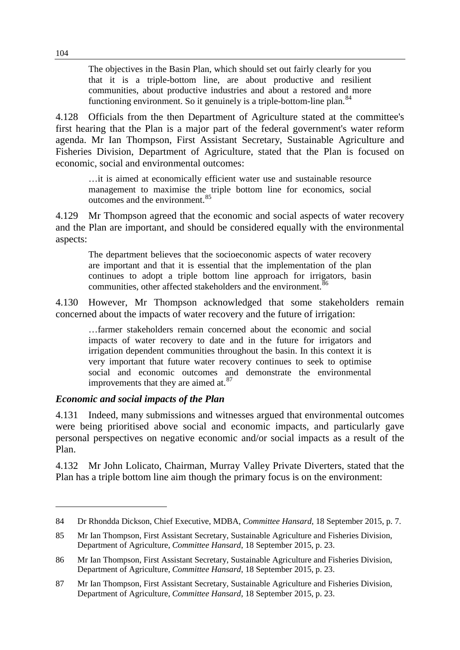The objectives in the Basin Plan, which should set out fairly clearly for you that it is a triple-bottom line, are about productive and resilient communities, about productive industries and about a restored and more functioning environment. So it genuinely is a triple-bottom-line plan.<sup>[84](#page-23-0)</sup>

4.128 Officials from the then Department of Agriculture stated at the committee's first hearing that the Plan is a major part of the federal government's water reform agenda. Mr Ian Thompson, First Assistant Secretary, Sustainable Agriculture and Fisheries Division, Department of Agriculture, stated that the Plan is focused on economic, social and environmental outcomes:

…it is aimed at economically efficient water use and sustainable resource management to maximise the triple bottom line for economics, social outcomes and the environment.<sup>[85](#page-23-1)</sup>

4.129 Mr Thompson agreed that the economic and social aspects of water recovery and the Plan are important, and should be considered equally with the environmental aspects:

The department believes that the socioeconomic aspects of water recovery are important and that it is essential that the implementation of the plan continues to adopt a triple bottom line approach for irrigators, basin communities, other affected stakeholders and the environment.<sup>[86](#page-23-2)</sup>

4.130 However, Mr Thompson acknowledged that some stakeholders remain concerned about the impacts of water recovery and the future of irrigation:

…farmer stakeholders remain concerned about the economic and social impacts of water recovery to date and in the future for irrigators and irrigation dependent communities throughout the basin. In this context it is very important that future water recovery continues to seek to optimise social and economic outcomes and demonstrate the environmental improvements that they are aimed at.<sup>[87](#page-23-3)</sup>

#### *Economic and social impacts of the Plan*

4.131 Indeed, many submissions and witnesses argued that environmental outcomes were being prioritised above social and economic impacts, and particularly gave personal perspectives on negative economic and/or social impacts as a result of the Plan.

4.132 Mr John Lolicato, Chairman, Murray Valley Private Diverters, stated that the Plan has a triple bottom line aim though the primary focus is on the environment:

<span id="page-23-0"></span><sup>84</sup> Dr Rhondda Dickson, Chief Executive, MDBA, *Committee Hansard*, 18 September 2015, p. 7.

<span id="page-23-1"></span><sup>85</sup> Mr Ian Thompson, First Assistant Secretary, Sustainable Agriculture and Fisheries Division, Department of Agriculture, *Committee Hansard*, 18 September 2015, p. 23.

<span id="page-23-2"></span><sup>86</sup> Mr Ian Thompson, First Assistant Secretary, Sustainable Agriculture and Fisheries Division, Department of Agriculture, *Committee Hansard*, 18 September 2015, p. 23.

<span id="page-23-3"></span><sup>87</sup> Mr Ian Thompson, First Assistant Secretary, Sustainable Agriculture and Fisheries Division, Department of Agriculture, *Committee Hansard*, 18 September 2015, p. 23.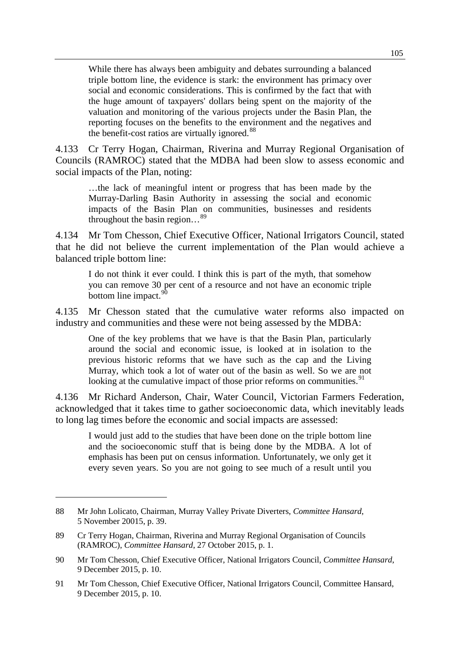While there has always been ambiguity and debates surrounding a balanced triple bottom line, the evidence is stark: the environment has primacy over social and economic considerations. This is confirmed by the fact that with the huge amount of taxpayers' dollars being spent on the majority of the valuation and monitoring of the various projects under the Basin Plan, the reporting focuses on the benefits to the environment and the negatives and the benefit-cost ratios are virtually ignored.<sup>[88](#page-24-0)</sup>

4.133 Cr Terry Hogan, Chairman, Riverina and Murray Regional Organisation of Councils (RAMROC) stated that the MDBA had been slow to assess economic and social impacts of the Plan, noting:

…the lack of meaningful intent or progress that has been made by the Murray-Darling Basin Authority in assessing the social and economic impacts of the Basin Plan on communities, businesses and residents throughout the basin region…[89](#page-24-1)

4.134 Mr Tom Chesson, Chief Executive Officer, National Irrigators Council, stated that he did not believe the current implementation of the Plan would achieve a balanced triple bottom line:

I do not think it ever could. I think this is part of the myth, that somehow you can remove 30 per cent of a resource and not have an economic triple bottom line impact.  $90$ 

4.135 Mr Chesson stated that the cumulative water reforms also impacted on industry and communities and these were not being assessed by the MDBA:

One of the key problems that we have is that the Basin Plan, particularly around the social and economic issue, is looked at in isolation to the previous historic reforms that we have such as the cap and the Living Murray, which took a lot of water out of the basin as well. So we are not looking at the cumulative impact of those prior reforms on communities.<sup>[91](#page-24-3)</sup>

4.136 Mr Richard Anderson, Chair, Water Council, Victorian Farmers Federation, acknowledged that it takes time to gather socioeconomic data, which inevitably leads to long lag times before the economic and social impacts are assessed:

I would just add to the studies that have been done on the triple bottom line and the socioeconomic stuff that is being done by the MDBA. A lot of emphasis has been put on census information. Unfortunately, we only get it every seven years. So you are not going to see much of a result until you

<span id="page-24-0"></span><sup>88</sup> Mr John Lolicato, Chairman, Murray Valley Private Diverters, *Committee Hansard*, 5 November 20015, p. 39.

<span id="page-24-1"></span><sup>89</sup> Cr Terry Hogan, Chairman, Riverina and Murray Regional Organisation of Councils (RAMROC), *Committee Hansard*, 27 October 2015, p. 1.

<span id="page-24-2"></span><sup>90</sup> Mr Tom Chesson, Chief Executive Officer, National Irrigators Council, *Committee Hansard*, 9 December 2015, p. 10.

<span id="page-24-3"></span><sup>91</sup> Mr Tom Chesson, Chief Executive Officer, National Irrigators Council, Committee Hansard, 9 December 2015, p. 10.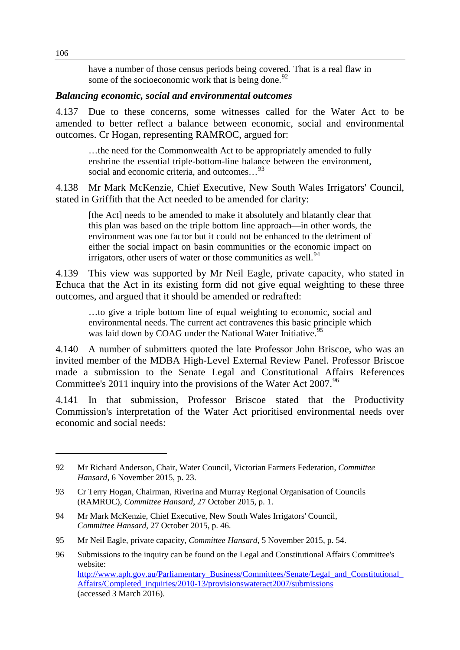have a number of those census periods being covered. That is a real flaw in some of the socioeconomic work that is being done. $92$ 

#### *Balancing economic, social and environmental outcomes*

4.137 Due to these concerns, some witnesses called for the Water Act to be amended to better reflect a balance between economic, social and environmental outcomes. Cr Hogan, representing RAMROC, argued for:

…the need for the Commonwealth Act to be appropriately amended to fully enshrine the essential triple-bottom-line balance between the environment, social and economic criteria, and outcomes.  $^{93}$  $^{93}$  $^{93}$ 

4.138 Mr Mark McKenzie, Chief Executive, New South Wales Irrigators' Council, stated in Griffith that the Act needed to be amended for clarity:

[the Act] needs to be amended to make it absolutely and blatantly clear that this plan was based on the triple bottom line approach—in other words, the environment was one factor but it could not be enhanced to the detriment of either the social impact on basin communities or the economic impact on irrigators, other users of water or those communities as well.<sup>[94](#page-25-2)</sup>

4.139 This view was supported by Mr Neil Eagle, private capacity, who stated in Echuca that the Act in its existing form did not give equal weighting to these three outcomes, and argued that it should be amended or redrafted:

…to give a triple bottom line of equal weighting to economic, social and environmental needs. The current act contravenes this basic principle which was laid down by COAG under the National Water Initiative.<sup>[95](#page-25-3)</sup>

4.140 A number of submitters quoted the late Professor John Briscoe, who was an invited member of the MDBA High-Level External Review Panel. Professor Briscoe made a submission to the Senate Legal and Constitutional Affairs References Committee's 2011 inquiry into the provisions of the Water Act 2007.<sup>[96](#page-25-4)</sup>

4.141 In that submission, Professor Briscoe stated that the Productivity Commission's interpretation of the Water Act prioritised environmental needs over economic and social needs:

<span id="page-25-0"></span><sup>92</sup> Mr Richard Anderson, Chair, Water Council, Victorian Farmers Federation, *Committee Hansard*, 6 November 2015, p. 23.

<span id="page-25-1"></span><sup>93</sup> Cr Terry Hogan, Chairman, Riverina and Murray Regional Organisation of Councils (RAMROC), *Committee Hansard*, 27 October 2015, p. 1.

<span id="page-25-2"></span><sup>94</sup> Mr Mark McKenzie, Chief Executive, New South Wales Irrigators' Council, *Committee Hansard*, 27 October 2015, p. 46.

<span id="page-25-3"></span><sup>95</sup> Mr Neil Eagle, private capacity, *Committee Hansard*, 5 November 2015, p. 54.

<span id="page-25-4"></span><sup>96</sup> Submissions to the inquiry can be found on the Legal and Constitutional Affairs Committee's website: http://www.aph.gov.au/Parliamentary\_Business/Committees/Senate/Legal\_and\_Constitutional [Affairs/Completed\\_inquiries/2010-13/provisionswateract2007/submissions](http://www.aph.gov.au/Parliamentary_Business/Committees/Senate/Legal_and_Constitutional_Affairs/Completed_inquiries/2010-13/provisionswateract2007/submissions) (accessed 3 March 2016).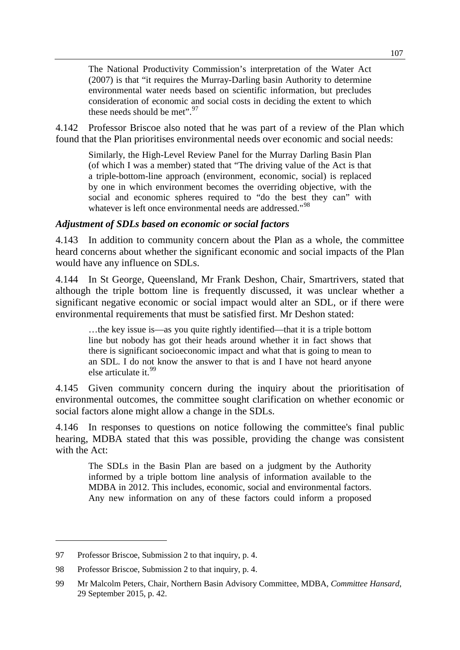The National Productivity Commission's interpretation of the Water Act (2007) is that "it requires the Murray-Darling basin Authority to determine environmental water needs based on scientific information, but precludes consideration of economic and social costs in deciding the extent to which these needs should be met".  $97$ 

4.142 Professor Briscoe also noted that he was part of a review of the Plan which found that the Plan prioritises environmental needs over economic and social needs:

Similarly, the High-Level Review Panel for the Murray Darling Basin Plan (of which I was a member) stated that "The driving value of the Act is that a triple-bottom-line approach (environment, economic, social) is replaced by one in which environment becomes the overriding objective, with the social and economic spheres required to "do the best they can" with whatever is left once environmental needs are addressed."<sup>[98](#page-26-1)</sup>

#### *Adjustment of SDLs based on economic or social factors*

4.143 In addition to community concern about the Plan as a whole, the committee heard concerns about whether the significant economic and social impacts of the Plan would have any influence on SDLs.

4.144 In St George, Queensland, Mr Frank Deshon, Chair, Smartrivers, stated that although the triple bottom line is frequently discussed, it was unclear whether a significant negative economic or social impact would alter an SDL, or if there were environmental requirements that must be satisfied first. Mr Deshon stated:

…the key issue is—as you quite rightly identified—that it is a triple bottom line but nobody has got their heads around whether it in fact shows that there is significant socioeconomic impact and what that is going to mean to an SDL. I do not know the answer to that is and I have not heard anyone else articulate it.<sup>[99](#page-26-2)</sup>

4.145 Given community concern during the inquiry about the prioritisation of environmental outcomes, the committee sought clarification on whether economic or social factors alone might allow a change in the SDLs.

4.146 In responses to questions on notice following the committee's final public hearing, MDBA stated that this was possible, providing the change was consistent with the Act:

The SDLs in the Basin Plan are based on a judgment by the Authority informed by a triple bottom line analysis of information available to the MDBA in 2012. This includes, economic, social and environmental factors. Any new information on any of these factors could inform a proposed

<span id="page-26-0"></span><sup>97</sup> Professor Briscoe, Submission 2 to that inquiry, p. 4.

<span id="page-26-1"></span><sup>98</sup> Professor Briscoe, Submission 2 to that inquiry, p. 4.

<span id="page-26-2"></span><sup>99</sup> Mr Malcolm Peters, Chair, Northern Basin Advisory Committee, MDBA, *Committee Hansard*, 29 September 2015, p. 42.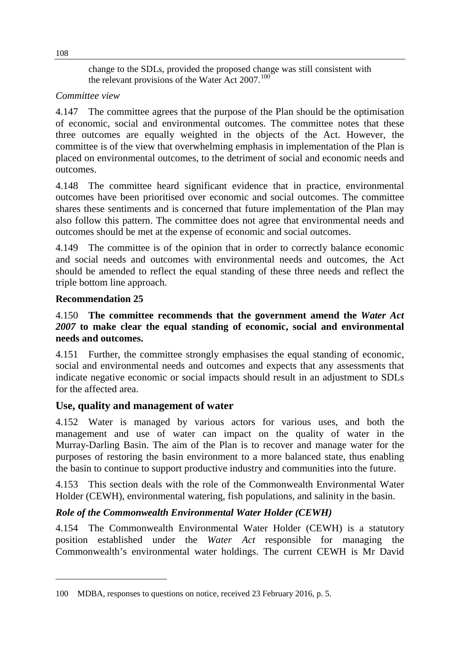change to the SDLs, provided the proposed change was still consistent with the relevant provisions of the Water Act  $2007$ .<sup>[100](#page-27-0)</sup>

# *Committee view*

4.147 The committee agrees that the purpose of the Plan should be the optimisation of economic, social and environmental outcomes. The committee notes that these three outcomes are equally weighted in the objects of the Act. However, the committee is of the view that overwhelming emphasis in implementation of the Plan is placed on environmental outcomes, to the detriment of social and economic needs and outcomes.

4.148 The committee heard significant evidence that in practice, environmental outcomes have been prioritised over economic and social outcomes. The committee shares these sentiments and is concerned that future implementation of the Plan may also follow this pattern. The committee does not agree that environmental needs and outcomes should be met at the expense of economic and social outcomes.

4.149 The committee is of the opinion that in order to correctly balance economic and social needs and outcomes with environmental needs and outcomes, the Act should be amended to reflect the equal standing of these three needs and reflect the triple bottom line approach.

# **Recommendation 25**

-

# 4.150 **The committee recommends that the government amend the** *Water Act 2007* **to make clear the equal standing of economic, social and environmental needs and outcomes.**

4.151 Further, the committee strongly emphasises the equal standing of economic, social and environmental needs and outcomes and expects that any assessments that indicate negative economic or social impacts should result in an adjustment to SDLs for the affected area.

# **Use, quality and management of water**

4.152 Water is managed by various actors for various uses, and both the management and use of water can impact on the quality of water in the Murray-Darling Basin. The aim of the Plan is to recover and manage water for the purposes of restoring the basin environment to a more balanced state, thus enabling the basin to continue to support productive industry and communities into the future.

4.153 This section deals with the role of the Commonwealth Environmental Water Holder (CEWH), environmental watering, fish populations, and salinity in the basin.

# *Role of the Commonwealth Environmental Water Holder (CEWH)*

4.154 The Commonwealth Environmental Water Holder (CEWH) is a statutory position established under the *Water Act* responsible for managing the Commonwealth's environmental water holdings. The current CEWH is Mr David

<span id="page-27-0"></span><sup>100</sup> MDBA, responses to questions on notice, received 23 February 2016, p. 5.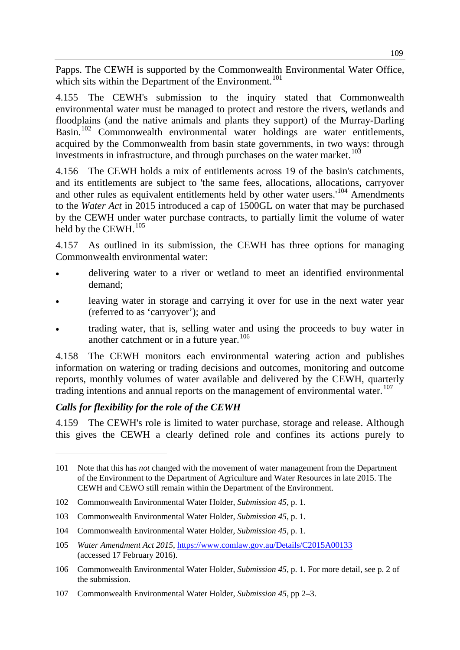Papps. The CEWH is supported by the Commonwealth Environmental Water Office, which sits within the Department of the Environment.<sup>[101](#page-28-0)</sup>

4.155 The CEWH's submission to the inquiry stated that Commonwealth environmental water must be managed to protect and restore the rivers, wetlands and floodplains (and the native animals and plants they support) of the Murray-Darling Basin.<sup>[102](#page-28-1)</sup> Commonwealth environmental water holdings are water entitlements, acquired by the Commonwealth from basin state governments, in two ways: through investments in infrastructure, and through purchases on the water market.<sup>[103](#page-28-2)</sup>

4.156 The CEWH holds a mix of entitlements across 19 of the basin's catchments, and its entitlements are subject to 'the same fees, allocations, allocations, carryover and other rules as equivalent entitlements held by other water users.<sup>[104](#page-28-3)</sup> Amendments to the *Water Act* in 2015 introduced a cap of 1500GL on water that may be purchased by the CEWH under water purchase contracts, to partially limit the volume of water held by the CEWH.<sup>[105](#page-28-4)</sup>

4.157 As outlined in its submission, the CEWH has three options for managing Commonwealth environmental water:

- delivering water to a river or wetland to meet an identified environmental demand;
- leaving water in storage and carrying it over for use in the next water year (referred to as 'carryover'); and
- trading water, that is, selling water and using the proceeds to buy water in another catchment or in a future year.<sup>[106](#page-28-5)</sup>

4.158 The CEWH monitors each environmental watering action and publishes information on watering or trading decisions and outcomes, monitoring and outcome reports, monthly volumes of water available and delivered by the CEWH, quarterly trading intentions and annual reports on the management of environmental water.<sup>[107](#page-28-6)</sup>

# *Calls for flexibility for the role of the CEWH*

-

4.159 The CEWH's role is limited to water purchase, storage and release. Although this gives the CEWH a clearly defined role and confines its actions purely to

<span id="page-28-0"></span><sup>101</sup> Note that this has *not* changed with the movement of water management from the Department of the Environment to the Department of Agriculture and Water Resources in late 2015. The CEWH and CEWO still remain within the Department of the Environment.

<span id="page-28-1"></span><sup>102</sup> Commonwealth Environmental Water Holder, *Submission 45*, p. 1.

<span id="page-28-2"></span><sup>103</sup> Commonwealth Environmental Water Holder, *Submission 45*, p. 1.

<span id="page-28-3"></span><sup>104</sup> Commonwealth Environmental Water Holder, *Submission 45*, p. 1.

<span id="page-28-4"></span><sup>105</sup> *Water Amendment Act 2015*,<https://www.comlaw.gov.au/Details/C2015A00133> (accessed 17 February 2016).

<span id="page-28-5"></span><sup>106</sup> Commonwealth Environmental Water Holder, *Submission 45*, p. 1. For more detail, see p. 2 of the submission.

<span id="page-28-6"></span><sup>107</sup> Commonwealth Environmental Water Holder, *Submission 45*, pp 2–3.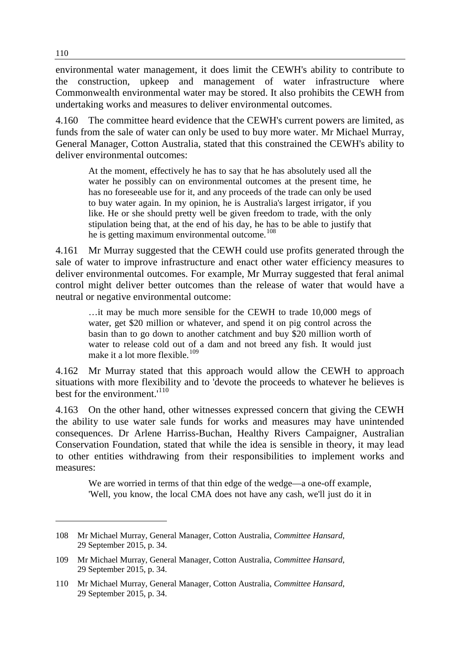environmental water management, it does limit the CEWH's ability to contribute to the construction, upkeep and management of water infrastructure where Commonwealth environmental water may be stored. It also prohibits the CEWH from undertaking works and measures to deliver environmental outcomes.

4.160 The committee heard evidence that the CEWH's current powers are limited, as funds from the sale of water can only be used to buy more water. Mr Michael Murray, General Manager, Cotton Australia, stated that this constrained the CEWH's ability to deliver environmental outcomes:

At the moment, effectively he has to say that he has absolutely used all the water he possibly can on environmental outcomes at the present time, he has no foreseeable use for it, and any proceeds of the trade can only be used to buy water again. In my opinion, he is Australia's largest irrigator, if you like. He or she should pretty well be given freedom to trade, with the only stipulation being that, at the end of his day, he has to be able to justify that he is getting maximum environmental outcome.<sup>[108](#page-29-0)</sup>

4.161 Mr Murray suggested that the CEWH could use profits generated through the sale of water to improve infrastructure and enact other water efficiency measures to deliver environmental outcomes. For example, Mr Murray suggested that feral animal control might deliver better outcomes than the release of water that would have a neutral or negative environmental outcome:

…it may be much more sensible for the CEWH to trade 10,000 megs of water, get \$20 million or whatever, and spend it on pig control across the basin than to go down to another catchment and buy \$20 million worth of water to release cold out of a dam and not breed any fish. It would just make it a lot more flexible.<sup>[109](#page-29-1)</sup>

4.162 Mr Murray stated that this approach would allow the CEWH to approach situations with more flexibility and to 'devote the proceeds to whatever he believes is best for the environment.<sup>'[110](#page-29-2)</sup>

4.163 On the other hand, other witnesses expressed concern that giving the CEWH the ability to use water sale funds for works and measures may have unintended consequences. Dr Arlene Harriss-Buchan, Healthy Rivers Campaigner, Australian Conservation Foundation, stated that while the idea is sensible in theory, it may lead to other entities withdrawing from their responsibilities to implement works and measures:

We are worried in terms of that thin edge of the wedge—a one-off example, 'Well, you know, the local CMA does not have any cash, we'll just do it in

<span id="page-29-0"></span><sup>108</sup> Mr Michael Murray, General Manager, Cotton Australia, *Committee Hansard*, 29 September 2015, p. 34.

<span id="page-29-1"></span><sup>109</sup> Mr Michael Murray, General Manager, Cotton Australia, *Committee Hansard*, 29 September 2015, p. 34.

<span id="page-29-2"></span><sup>110</sup> Mr Michael Murray, General Manager, Cotton Australia, *Committee Hansard*, 29 September 2015, p. 34.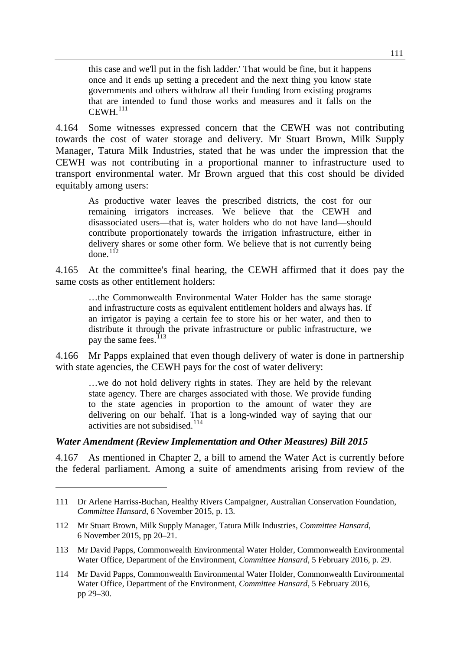this case and we'll put in the fish ladder.' That would be fine, but it happens once and it ends up setting a precedent and the next thing you know state governments and others withdraw all their funding from existing programs that are intended to fund those works and measures and it falls on the  $CEWH<sup>111</sup>$  $CEWH<sup>111</sup>$  $CEWH<sup>111</sup>$ 

4.164 Some witnesses expressed concern that the CEWH was not contributing towards the cost of water storage and delivery. Mr Stuart Brown, Milk Supply Manager, Tatura Milk Industries, stated that he was under the impression that the CEWH was not contributing in a proportional manner to infrastructure used to transport environmental water. Mr Brown argued that this cost should be divided equitably among users:

As productive water leaves the prescribed districts, the cost for our remaining irrigators increases. We believe that the CEWH and disassociated users—that is, water holders who do not have land—should contribute proportionately towards the irrigation infrastructure, either in delivery shares or some other form. We believe that is not currently being done. $112$ 

4.165 At the committee's final hearing, the CEWH affirmed that it does pay the same costs as other entitlement holders:

…the Commonwealth Environmental Water Holder has the same storage and infrastructure costs as equivalent entitlement holders and always has. If an irrigator is paying a certain fee to store his or her water, and then to distribute it through the private infrastructure or public infrastructure, we pay the same fees.<sup>[113](#page-30-2)</sup>

4.166 Mr Papps explained that even though delivery of water is done in partnership with state agencies, the CEWH pays for the cost of water delivery:

…we do not hold delivery rights in states. They are held by the relevant state agency. There are charges associated with those. We provide funding to the state agencies in proportion to the amount of water they are delivering on our behalf. That is a long-winded way of saying that our activities are not subsidised.<sup>[114](#page-30-3)</sup>

#### *Water Amendment (Review Implementation and Other Measures) Bill 2015*

-

4.167 As mentioned in Chapter 2, a bill to amend the Water Act is currently before the federal parliament. Among a suite of amendments arising from review of the

<span id="page-30-0"></span><sup>111</sup> Dr Arlene Harriss-Buchan, Healthy Rivers Campaigner, Australian Conservation Foundation, *Committee Hansard*, 6 November 2015, p. 13.

<span id="page-30-1"></span><sup>112</sup> Mr Stuart Brown, Milk Supply Manager, Tatura Milk Industries, *Committee Hansard*, 6 November 2015, pp 20–21.

<span id="page-30-2"></span><sup>113</sup> Mr David Papps, Commonwealth Environmental Water Holder, Commonwealth Environmental Water Office, Department of the Environment, *Committee Hansard*, 5 February 2016, p. 29.

<span id="page-30-3"></span><sup>114</sup> Mr David Papps, Commonwealth Environmental Water Holder, Commonwealth Environmental Water Office, Department of the Environment, *Committee Hansard*, 5 February 2016, pp 29–30.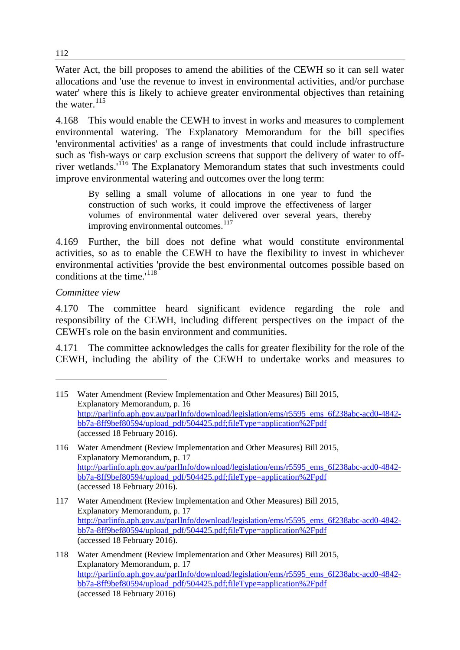Water Act, the bill proposes to amend the abilities of the CEWH so it can sell water allocations and 'use the revenue to invest in environmental activities, and/or purchase water' where this is likely to achieve greater environmental objectives than retaining the water.<sup>[115](#page-31-0)</sup>

4.168 This would enable the CEWH to invest in works and measures to complement environmental watering. The Explanatory Memorandum for the bill specifies 'environmental activities' as a range of investments that could include infrastructure such as 'fish-ways or carp exclusion screens that support the delivery of water to off-river wetlands.<sup>'[116](#page-31-1)</sup> The Explanatory Memorandum states that such investments could improve environmental watering and outcomes over the long term:

By selling a small volume of allocations in one year to fund the construction of such works, it could improve the effectiveness of larger volumes of environmental water delivered over several years, thereby improving environmental outcomes.<sup>[117](#page-31-2)</sup>

4.169 Further, the bill does not define what would constitute environmental activities, so as to enable the CEWH to have the flexibility to invest in whichever environmental activities 'provide the best environmental outcomes possible based on conditions at the time.'<sup>[118](#page-31-3)</sup>

## *Committee view*

-

4.170 The committee heard significant evidence regarding the role and responsibility of the CEWH, including different perspectives on the impact of the CEWH's role on the basin environment and communities.

4.171 The committee acknowledges the calls for greater flexibility for the role of the CEWH, including the ability of the CEWH to undertake works and measures to

<span id="page-31-0"></span><sup>115</sup> Water Amendment (Review Implementation and Other Measures) Bill 2015, Explanatory Memorandum, p. 16 [http://parlinfo.aph.gov.au/parlInfo/download/legislation/ems/r5595\\_ems\\_6f238abc-acd0-4842](http://parlinfo.aph.gov.au/parlInfo/download/legislation/ems/r5595_ems_6f238abc-acd0-4842-bb7a-8ff9bef80594/upload_pdf/504425.pdf;fileType=application%2Fpdf) [bb7a-8ff9bef80594/upload\\_pdf/504425.pdf;fileType=application%2Fpdf](http://parlinfo.aph.gov.au/parlInfo/download/legislation/ems/r5595_ems_6f238abc-acd0-4842-bb7a-8ff9bef80594/upload_pdf/504425.pdf;fileType=application%2Fpdf) (accessed 18 February 2016).

<span id="page-31-1"></span><sup>116</sup> Water Amendment (Review Implementation and Other Measures) Bill 2015, Explanatory Memorandum, p. 17 [http://parlinfo.aph.gov.au/parlInfo/download/legislation/ems/r5595\\_ems\\_6f238abc-acd0-4842](http://parlinfo.aph.gov.au/parlInfo/download/legislation/ems/r5595_ems_6f238abc-acd0-4842-bb7a-8ff9bef80594/upload_pdf/504425.pdf;fileType=application%2Fpdf) [bb7a-8ff9bef80594/upload\\_pdf/504425.pdf;fileType=application%2Fpdf](http://parlinfo.aph.gov.au/parlInfo/download/legislation/ems/r5595_ems_6f238abc-acd0-4842-bb7a-8ff9bef80594/upload_pdf/504425.pdf;fileType=application%2Fpdf) (accessed 18 February 2016).

<span id="page-31-2"></span><sup>117</sup> Water Amendment (Review Implementation and Other Measures) Bill 2015, Explanatory Memorandum, p. 17 [http://parlinfo.aph.gov.au/parlInfo/download/legislation/ems/r5595\\_ems\\_6f238abc-acd0-4842](http://parlinfo.aph.gov.au/parlInfo/download/legislation/ems/r5595_ems_6f238abc-acd0-4842-bb7a-8ff9bef80594/upload_pdf/504425.pdf;fileType=application%2Fpdf) [bb7a-8ff9bef80594/upload\\_pdf/504425.pdf;fileType=application%2Fpdf](http://parlinfo.aph.gov.au/parlInfo/download/legislation/ems/r5595_ems_6f238abc-acd0-4842-bb7a-8ff9bef80594/upload_pdf/504425.pdf;fileType=application%2Fpdf) (accessed 18 February 2016).

<span id="page-31-3"></span><sup>118</sup> Water Amendment (Review Implementation and Other Measures) Bill 2015, Explanatory Memorandum, p. 17 [http://parlinfo.aph.gov.au/parlInfo/download/legislation/ems/r5595\\_ems\\_6f238abc-acd0-4842](http://parlinfo.aph.gov.au/parlInfo/download/legislation/ems/r5595_ems_6f238abc-acd0-4842-bb7a-8ff9bef80594/upload_pdf/504425.pdf;fileType=application%2Fpdf) [bb7a-8ff9bef80594/upload\\_pdf/504425.pdf;fileType=application%2Fpdf](http://parlinfo.aph.gov.au/parlInfo/download/legislation/ems/r5595_ems_6f238abc-acd0-4842-bb7a-8ff9bef80594/upload_pdf/504425.pdf;fileType=application%2Fpdf) (accessed 18 February 2016)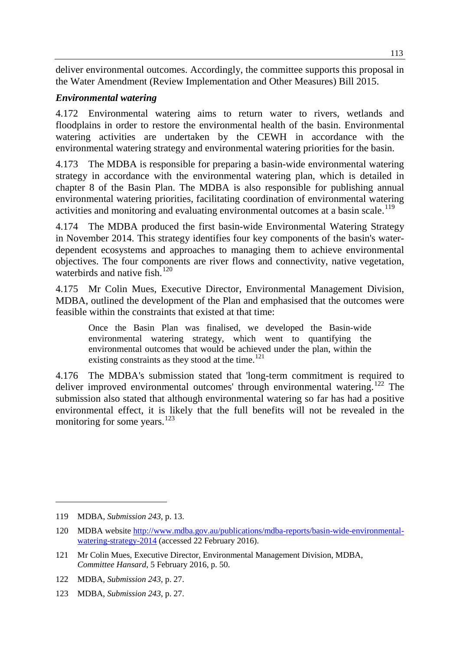deliver environmental outcomes. Accordingly, the committee supports this proposal in the Water Amendment (Review Implementation and Other Measures) Bill 2015.

# *Environmental watering*

4.172 Environmental watering aims to return water to rivers, wetlands and floodplains in order to restore the environmental health of the basin. Environmental watering activities are undertaken by the CEWH in accordance with the environmental watering strategy and environmental watering priorities for the basin.

4.173 The MDBA is responsible for preparing a basin-wide environmental watering strategy in accordance with the environmental watering plan, which is detailed in chapter 8 of the Basin Plan. The MDBA is also responsible for publishing annual environmental watering priorities, facilitating coordination of environmental watering activities and monitoring and evaluating environmental outcomes at a basin scale.<sup>[119](#page-32-0)</sup>

4.174 The MDBA produced the first basin-wide Environmental Watering Strategy in November 2014. This strategy identifies four key components of the basin's waterdependent ecosystems and approaches to managing them to achieve environmental objectives. The four components are river flows and connectivity, native vegetation, waterbirds and native fish.<sup>[120](#page-32-1)</sup>

4.175 Mr Colin Mues, Executive Director, Environmental Management Division, MDBA, outlined the development of the Plan and emphasised that the outcomes were feasible within the constraints that existed at that time:

Once the Basin Plan was finalised, we developed the Basin-wide environmental watering strategy, which went to quantifying the environmental outcomes that would be achieved under the plan, within the existing constraints as they stood at the time. $121$ 

4.176 The MDBA's submission stated that 'long-term commitment is required to deliver improved environmental outcomes' through environmental watering.<sup>[122](#page-32-3)</sup> The submission also stated that although environmental watering so far has had a positive environmental effect, it is likely that the full benefits will not be revealed in the monitoring for some years.<sup>[123](#page-32-4)</sup>

<span id="page-32-0"></span><sup>119</sup> MDBA, *Submission 243*, p. 13.

<span id="page-32-1"></span><sup>120</sup> MDBA website [http://www.mdba.gov.au/publications/mdba-reports/basin-wide-environmental](http://www.mdba.gov.au/publications/mdba-reports/basin-wide-environmental-watering-strategy-2014)[watering-strategy-2014](http://www.mdba.gov.au/publications/mdba-reports/basin-wide-environmental-watering-strategy-2014) (accessed 22 February 2016).

<span id="page-32-2"></span><sup>121</sup> Mr Colin Mues, Executive Director, Environmental Management Division, MDBA, *Committee Hansard*, 5 February 2016, p. 50.

<span id="page-32-3"></span><sup>122</sup> MDBA, *Submission 243*, p. 27.

<span id="page-32-4"></span><sup>123</sup> MDBA, *Submission 243*, p. 27.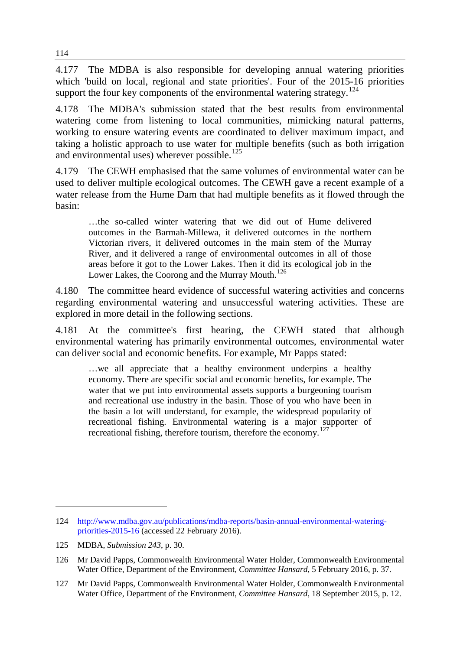4.177 The MDBA is also responsible for developing annual watering priorities which 'build on local, regional and state priorities'. Four of the 2015-16 priorities support the four key components of the environmental watering strategy.<sup>[124](#page-33-0)</sup>

4.178 The MDBA's submission stated that the best results from environmental watering come from listening to local communities, mimicking natural patterns, working to ensure watering events are coordinated to deliver maximum impact, and taking a holistic approach to use water for multiple benefits (such as both irrigation and environmental uses) wherever possible.<sup>[125](#page-33-1)</sup>

4.179 The CEWH emphasised that the same volumes of environmental water can be used to deliver multiple ecological outcomes. The CEWH gave a recent example of a water release from the Hume Dam that had multiple benefits as it flowed through the basin:

…the so-called winter watering that we did out of Hume delivered outcomes in the Barmah-Millewa, it delivered outcomes in the northern Victorian rivers, it delivered outcomes in the main stem of the Murray River, and it delivered a range of environmental outcomes in all of those areas before it got to the Lower Lakes. Then it did its ecological job in the Lower Lakes, the Coorong and the Murray Mouth.<sup>[126](#page-33-2)</sup>

4.180 The committee heard evidence of successful watering activities and concerns regarding environmental watering and unsuccessful watering activities. These are explored in more detail in the following sections.

4.181 At the committee's first hearing, the CEWH stated that although environmental watering has primarily environmental outcomes, environmental water can deliver social and economic benefits. For example, Mr Papps stated:

…we all appreciate that a healthy environment underpins a healthy economy. There are specific social and economic benefits, for example. The water that we put into environmental assets supports a burgeoning tourism and recreational use industry in the basin. Those of you who have been in the basin a lot will understand, for example, the widespread popularity of recreational fishing. Environmental watering is a major supporter of recreational fishing, therefore tourism, therefore the economy.<sup>[127](#page-33-3)</sup>

<span id="page-33-0"></span><sup>124</sup> [http://www.mdba.gov.au/publications/mdba-reports/basin-annual-environmental-watering](http://www.mdba.gov.au/publications/mdba-reports/basin-annual-environmental-watering-priorities-2015-16)[priorities-2015-16](http://www.mdba.gov.au/publications/mdba-reports/basin-annual-environmental-watering-priorities-2015-16) (accessed 22 February 2016).

<span id="page-33-1"></span><sup>125</sup> MDBA, *Submission 243*, p. 30.

<span id="page-33-2"></span><sup>126</sup> Mr David Papps, Commonwealth Environmental Water Holder, Commonwealth Environmental Water Office, Department of the Environment, *Committee Hansard*, 5 February 2016, p. 37.

<span id="page-33-3"></span><sup>127</sup> Mr David Papps, Commonwealth Environmental Water Holder, Commonwealth Environmental Water Office, Department of the Environment, *Committee Hansard*, 18 September 2015, p. 12.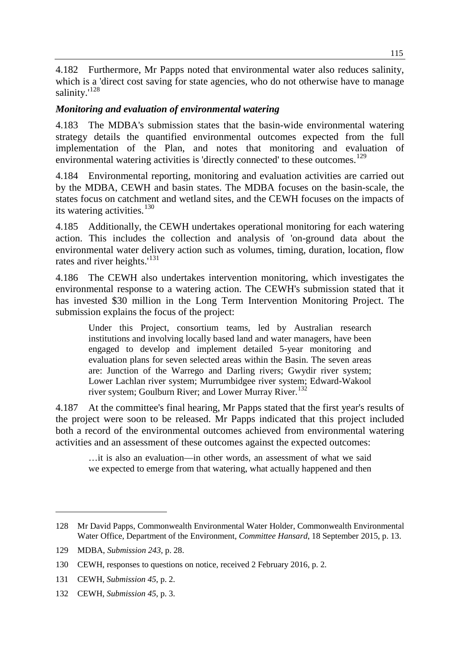115

4.182 Furthermore, Mr Papps noted that environmental water also reduces salinity, which is a 'direct cost saving for state agencies, who do not otherwise have to manage salinity.'<sup>[128](#page-34-0)</sup>

# *Monitoring and evaluation of environmental watering*

4.183 The MDBA's submission states that the basin-wide environmental watering strategy details the quantified environmental outcomes expected from the full implementation of the Plan, and notes that monitoring and evaluation of environmental watering activities is 'directly connected' to these outcomes.<sup>[129](#page-34-1)</sup>

4.184 Environmental reporting, monitoring and evaluation activities are carried out by the MDBA, CEWH and basin states. The MDBA focuses on the basin-scale, the states focus on catchment and wetland sites, and the CEWH focuses on the impacts of its watering activities.<sup>[130](#page-34-2)</sup>

4.185 Additionally, the CEWH undertakes operational monitoring for each watering action. This includes the collection and analysis of 'on-ground data about the environmental water delivery action such as volumes, timing, duration, location, flow rates and river heights.'<sup>[131](#page-34-3)</sup>

4.186 The CEWH also undertakes intervention monitoring, which investigates the environmental response to a watering action. The CEWH's submission stated that it has invested \$30 million in the Long Term Intervention Monitoring Project. The submission explains the focus of the project:

Under this Project, consortium teams, led by Australian research institutions and involving locally based land and water managers, have been engaged to develop and implement detailed 5-year monitoring and evaluation plans for seven selected areas within the Basin. The seven areas are: Junction of the Warrego and Darling rivers; Gwydir river system; Lower Lachlan river system; Murrumbidgee river system; Edward-Wakool river system; Goulburn River; and Lower Murray River.<sup>[132](#page-34-4)</sup>

4.187 At the committee's final hearing, Mr Papps stated that the first year's results of the project were soon to be released. Mr Papps indicated that this project included both a record of the environmental outcomes achieved from environmental watering activities and an assessment of these outcomes against the expected outcomes:

…it is also an evaluation—in other words, an assessment of what we said we expected to emerge from that watering, what actually happened and then

<span id="page-34-0"></span><sup>128</sup> Mr David Papps, Commonwealth Environmental Water Holder, Commonwealth Environmental Water Office, Department of the Environment, *Committee Hansard*, 18 September 2015, p. 13.

<span id="page-34-1"></span><sup>129</sup> MDBA, *Submission 243*, p. 28.

<span id="page-34-2"></span><sup>130</sup> CEWH, responses to questions on notice, received 2 February 2016, p. 2.

<span id="page-34-3"></span><sup>131</sup> CEWH, *Submission 45*, p. 2.

<span id="page-34-4"></span><sup>132</sup> CEWH, *Submission 45*, p. 3.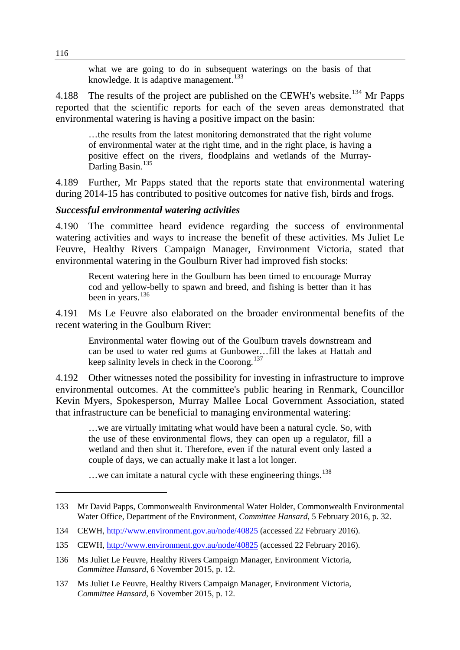what we are going to do in subsequent waterings on the basis of that knowledge. It is adaptive management.<sup>[133](#page-35-0)</sup>

4.188 The results of the project are published on the CEWH's website.<sup>[134](#page-35-1)</sup> Mr Papps reported that the scientific reports for each of the seven areas demonstrated that environmental watering is having a positive impact on the basin:

…the results from the latest monitoring demonstrated that the right volume of environmental water at the right time, and in the right place, is having a positive effect on the rivers, floodplains and wetlands of the Murray-Darling Basin.<sup>[135](#page-35-2)</sup>

4.189 Further, Mr Papps stated that the reports state that environmental watering during 2014-15 has contributed to positive outcomes for native fish, birds and frogs.

#### *Successful environmental watering activities*

4.190 The committee heard evidence regarding the success of environmental watering activities and ways to increase the benefit of these activities. Ms Juliet Le Feuvre, Healthy Rivers Campaign Manager, Environment Victoria, stated that environmental watering in the Goulburn River had improved fish stocks:

Recent watering here in the Goulburn has been timed to encourage Murray cod and yellow-belly to spawn and breed, and fishing is better than it has been in years.<sup>[136](#page-35-3)</sup>

4.191 Ms Le Feuvre also elaborated on the broader environmental benefits of the recent watering in the Goulburn River:

Environmental water flowing out of the Goulburn travels downstream and can be used to water red gums at Gunbower…fill the lakes at Hattah and keep salinity levels in check in the Coorong.<sup>[137](#page-35-4)</sup>

4.192 Other witnesses noted the possibility for investing in infrastructure to improve environmental outcomes. At the committee's public hearing in Renmark, Councillor Kevin Myers, Spokesperson, Murray Mallee Local Government Association, stated that infrastructure can be beneficial to managing environmental watering:

…we are virtually imitating what would have been a natural cycle. So, with the use of these environmental flows, they can open up a regulator, fill a wetland and then shut it. Therefore, even if the natural event only lasted a couple of days, we can actually make it last a lot longer.

 $\dots$  we can imitate a natural cycle with these engineering things.<sup>[138](#page-35-5)</sup>

<span id="page-35-5"></span><span id="page-35-0"></span><sup>133</sup> Mr David Papps, Commonwealth Environmental Water Holder, Commonwealth Environmental Water Office, Department of the Environment, *Committee Hansard*, 5 February 2016, p. 32.

<span id="page-35-1"></span><sup>134</sup> CEWH,<http://www.environment.gov.au/node/40825> (accessed 22 February 2016).

<span id="page-35-2"></span><sup>135</sup> CEWH,<http://www.environment.gov.au/node/40825> (accessed 22 February 2016).

<span id="page-35-3"></span><sup>136</sup> Ms Juliet Le Feuvre, Healthy Rivers Campaign Manager, Environment Victoria, *Committee Hansard*, 6 November 2015, p. 12.

<span id="page-35-4"></span><sup>137</sup> Ms Juliet Le Feuvre, Healthy Rivers Campaign Manager, Environment Victoria, *Committee Hansard*, 6 November 2015, p. 12.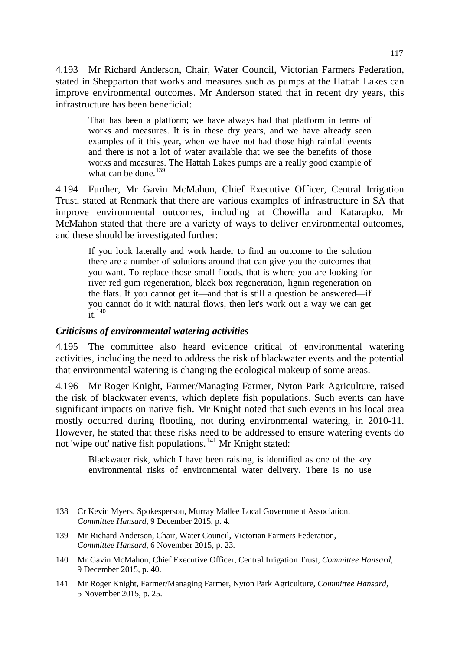4.193 Mr Richard Anderson, Chair, Water Council, Victorian Farmers Federation, stated in Shepparton that works and measures such as pumps at the Hattah Lakes can improve environmental outcomes. Mr Anderson stated that in recent dry years, this infrastructure has been beneficial:

That has been a platform; we have always had that platform in terms of works and measures. It is in these dry years, and we have already seen examples of it this year, when we have not had those high rainfall events and there is not a lot of water available that we see the benefits of those works and measures. The Hattah Lakes pumps are a really good example of what can be done.<sup>[139](#page-36-0)</sup>

4.194 Further, Mr Gavin McMahon, Chief Executive Officer, Central Irrigation Trust, stated at Renmark that there are various examples of infrastructure in SA that improve environmental outcomes, including at Chowilla and Katarapko. Mr McMahon stated that there are a variety of ways to deliver environmental outcomes, and these should be investigated further:

If you look laterally and work harder to find an outcome to the solution there are a number of solutions around that can give you the outcomes that you want. To replace those small floods, that is where you are looking for river red gum regeneration, black box regeneration, lignin regeneration on the flats. If you cannot get it—and that is still a question be answered—if you cannot do it with natural flows, then let's work out a way we can get  $\frac{1}{1}$  [140](#page-36-1)

## *Criticisms of environmental watering activities*

-

4.195 The committee also heard evidence critical of environmental watering activities, including the need to address the risk of blackwater events and the potential that environmental watering is changing the ecological makeup of some areas.

4.196 Mr Roger Knight, Farmer/Managing Farmer, Nyton Park Agriculture, raised the risk of blackwater events, which deplete fish populations. Such events can have significant impacts on native fish. Mr Knight noted that such events in his local area mostly occurred during flooding, not during environmental watering, in 2010-11. However, he stated that these risks need to be addressed to ensure watering events do not 'wipe out' native fish populations.<sup>[141](#page-36-2)</sup> Mr Knight stated:

Blackwater risk, which I have been raising, is identified as one of the key environmental risks of environmental water delivery. There is no use

<sup>138</sup> Cr Kevin Myers, Spokesperson, Murray Mallee Local Government Association, *Committee Hansard*, 9 December 2015, p. 4.

<span id="page-36-0"></span><sup>139</sup> Mr Richard Anderson, Chair, Water Council, Victorian Farmers Federation, *Committee Hansard*, 6 November 2015, p. 23.

<span id="page-36-1"></span><sup>140</sup> Mr Gavin McMahon, Chief Executive Officer, Central Irrigation Trust, *Committee Hansard*, 9 December 2015, p. 40.

<span id="page-36-2"></span><sup>141</sup> Mr Roger Knight, Farmer/Managing Farmer, Nyton Park Agriculture, *Committee Hansard*, 5 November 2015, p. 25.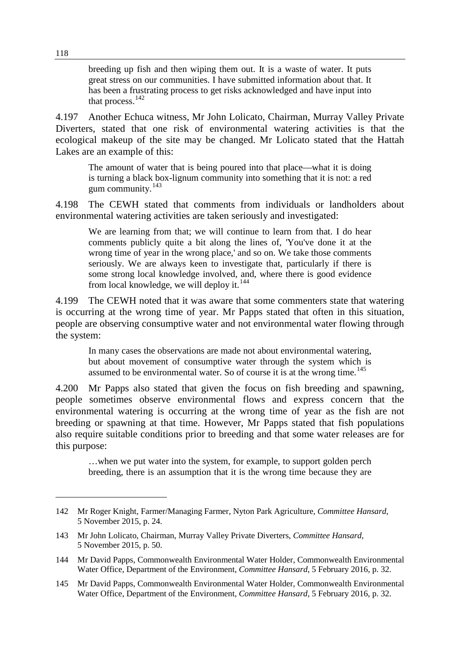breeding up fish and then wiping them out. It is a waste of water. It puts great stress on our communities. I have submitted information about that. It has been a frustrating process to get risks acknowledged and have input into that process.  $142$ 

4.197 Another Echuca witness, Mr John Lolicato, Chairman, Murray Valley Private Diverters, stated that one risk of environmental watering activities is that the ecological makeup of the site may be changed. Mr Lolicato stated that the Hattah Lakes are an example of this:

The amount of water that is being poured into that place—what it is doing is turning a black box-lignum community into something that it is not: a red gum community.[143](#page-37-1)

4.198 The CEWH stated that comments from individuals or landholders about environmental watering activities are taken seriously and investigated:

We are learning from that; we will continue to learn from that. I do hear comments publicly quite a bit along the lines of, 'You've done it at the wrong time of year in the wrong place,' and so on. We take those comments seriously. We are always keen to investigate that, particularly if there is some strong local knowledge involved, and, where there is good evidence from local knowledge, we will deploy it. $144$ 

4.199 The CEWH noted that it was aware that some commenters state that watering is occurring at the wrong time of year. Mr Papps stated that often in this situation, people are observing consumptive water and not environmental water flowing through the system:

In many cases the observations are made not about environmental watering, but about movement of consumptive water through the system which is assumed to be environmental water. So of course it is at the wrong time.<sup>[145](#page-37-3)</sup>

4.200 Mr Papps also stated that given the focus on fish breeding and spawning, people sometimes observe environmental flows and express concern that the environmental watering is occurring at the wrong time of year as the fish are not breeding or spawning at that time. However, Mr Papps stated that fish populations also require suitable conditions prior to breeding and that some water releases are for this purpose:

…when we put water into the system, for example, to support golden perch breeding, there is an assumption that it is the wrong time because they are

<span id="page-37-0"></span><sup>142</sup> Mr Roger Knight, Farmer/Managing Farmer, Nyton Park Agriculture, *Committee Hansard*, 5 November 2015, p. 24.

<span id="page-37-1"></span><sup>143</sup> Mr John Lolicato, Chairman, Murray Valley Private Diverters, *Committee Hansard*, 5 November 2015, p. 50.

<span id="page-37-2"></span><sup>144</sup> Mr David Papps, Commonwealth Environmental Water Holder, Commonwealth Environmental Water Office, Department of the Environment, *Committee Hansard*, 5 February 2016, p. 32.

<span id="page-37-3"></span><sup>145</sup> Mr David Papps, Commonwealth Environmental Water Holder, Commonwealth Environmental Water Office, Department of the Environment, *Committee Hansard*, 5 February 2016, p. 32.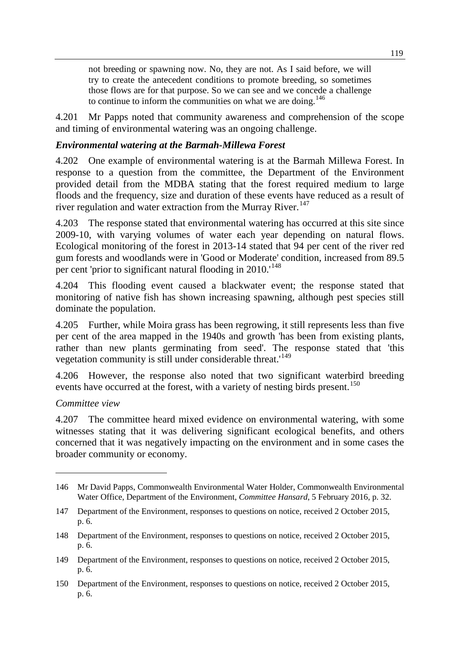not breeding or spawning now. No, they are not. As I said before, we will try to create the antecedent conditions to promote breeding, so sometimes those flows are for that purpose. So we can see and we concede a challenge to continue to inform the communities on what we are doing.<sup>[146](#page-38-0)</sup>

4.201 Mr Papps noted that community awareness and comprehension of the scope and timing of environmental watering was an ongoing challenge.

## *Environmental watering at the Barmah-Millewa Forest*

4.202 One example of environmental watering is at the Barmah Millewa Forest. In response to a question from the committee, the Department of the Environment provided detail from the MDBA stating that the forest required medium to large floods and the frequency, size and duration of these events have reduced as a result of river regulation and water extraction from the Murray River.<sup>[147](#page-38-1)</sup>

4.203 The response stated that environmental watering has occurred at this site since 2009-10, with varying volumes of water each year depending on natural flows. Ecological monitoring of the forest in 2013-14 stated that 94 per cent of the river red gum forests and woodlands were in 'Good or Moderate' condition, increased from 89.5 per cent 'prior to significant natural flooding in 2010.<sup>[148](#page-38-2)</sup>

4.204 This flooding event caused a blackwater event; the response stated that monitoring of native fish has shown increasing spawning, although pest species still dominate the population.

4.205 Further, while Moira grass has been regrowing, it still represents less than five per cent of the area mapped in the 1940s and growth 'has been from existing plants, rather than new plants germinating from seed'. The response stated that 'this vegetation community is still under considerable threat.<sup>[149](#page-38-3)</sup>

4.206 However, the response also noted that two significant waterbird breeding events have occurred at the forest, with a variety of nesting birds present.<sup>[150](#page-38-4)</sup>

## *Committee view*

-

4.207 The committee heard mixed evidence on environmental watering, with some witnesses stating that it was delivering significant ecological benefits, and others concerned that it was negatively impacting on the environment and in some cases the broader community or economy.

<span id="page-38-0"></span><sup>146</sup> Mr David Papps, Commonwealth Environmental Water Holder, Commonwealth Environmental Water Office, Department of the Environment, *Committee Hansard*, 5 February 2016, p. 32.

<span id="page-38-1"></span><sup>147</sup> Department of the Environment, responses to questions on notice, received 2 October 2015, p. 6.

<span id="page-38-2"></span><sup>148</sup> Department of the Environment, responses to questions on notice, received 2 October 2015, p. 6.

<span id="page-38-3"></span><sup>149</sup> Department of the Environment, responses to questions on notice, received 2 October 2015, p. 6.

<span id="page-38-4"></span><sup>150</sup> Department of the Environment, responses to questions on notice, received 2 October 2015, p. 6.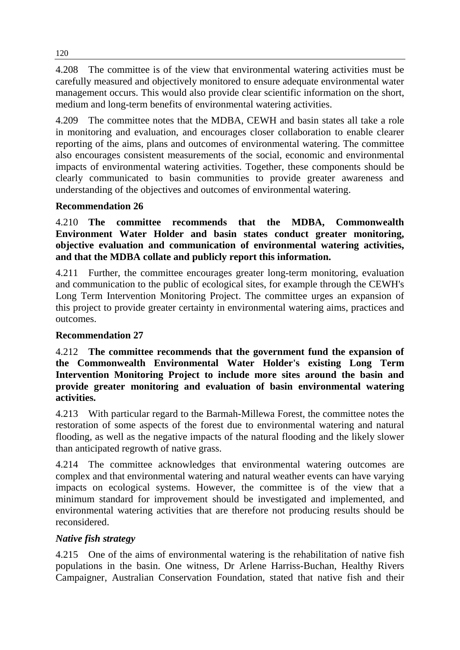4.208 The committee is of the view that environmental watering activities must be carefully measured and objectively monitored to ensure adequate environmental water management occurs. This would also provide clear scientific information on the short, medium and long-term benefits of environmental watering activities.

4.209 The committee notes that the MDBA, CEWH and basin states all take a role in monitoring and evaluation, and encourages closer collaboration to enable clearer reporting of the aims, plans and outcomes of environmental watering. The committee also encourages consistent measurements of the social, economic and environmental impacts of environmental watering activities. Together, these components should be clearly communicated to basin communities to provide greater awareness and understanding of the objectives and outcomes of environmental watering.

# **Recommendation 26**

4.210 **The committee recommends that the MDBA, Commonwealth Environment Water Holder and basin states conduct greater monitoring, objective evaluation and communication of environmental watering activities, and that the MDBA collate and publicly report this information.**

4.211 Further, the committee encourages greater long-term monitoring, evaluation and communication to the public of ecological sites, for example through the CEWH's Long Term Intervention Monitoring Project. The committee urges an expansion of this project to provide greater certainty in environmental watering aims, practices and outcomes.

## **Recommendation 27**

4.212 **The committee recommends that the government fund the expansion of the Commonwealth Environmental Water Holder's existing Long Term Intervention Monitoring Project to include more sites around the basin and provide greater monitoring and evaluation of basin environmental watering activities.**

4.213 With particular regard to the Barmah-Millewa Forest, the committee notes the restoration of some aspects of the forest due to environmental watering and natural flooding, as well as the negative impacts of the natural flooding and the likely slower than anticipated regrowth of native grass.

4.214 The committee acknowledges that environmental watering outcomes are complex and that environmental watering and natural weather events can have varying impacts on ecological systems. However, the committee is of the view that a minimum standard for improvement should be investigated and implemented, and environmental watering activities that are therefore not producing results should be reconsidered.

## *Native fish strategy*

4.215 One of the aims of environmental watering is the rehabilitation of native fish populations in the basin. One witness, Dr Arlene Harriss-Buchan, Healthy Rivers Campaigner, Australian Conservation Foundation, stated that native fish and their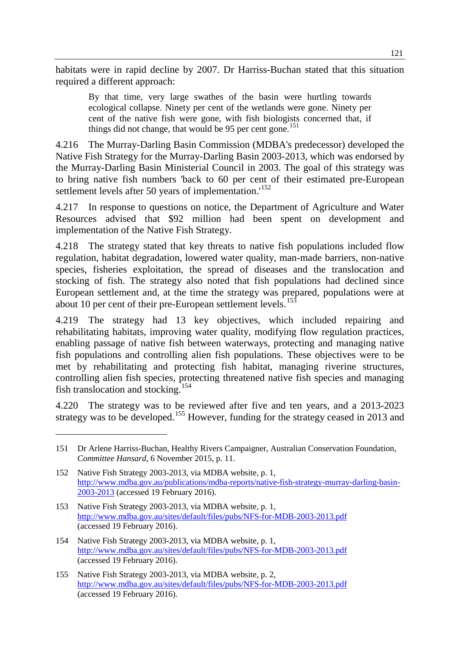habitats were in rapid decline by 2007. Dr Harriss-Buchan stated that this situation required a different approach:

By that time, very large swathes of the basin were hurtling towards ecological collapse. Ninety per cent of the wetlands were gone. Ninety per cent of the native fish were gone, with fish biologists concerned that, if things did not change, that would be 95 per cent gone.<sup>[151](#page-40-0)</sup>

4.216 The Murray-Darling Basin Commission (MDBA's predecessor) developed the Native Fish Strategy for the Murray-Darling Basin 2003-2013, which was endorsed by the Murray-Darling Basin Ministerial Council in 2003. The goal of this strategy was to bring native fish numbers 'back to 60 per cent of their estimated pre-European settlement levels after 50 years of implementation.<sup>[152](#page-40-1)</sup>

4.217 In response to questions on notice, the Department of Agriculture and Water Resources advised that \$92 million had been spent on development and implementation of the Native Fish Strategy.

4.218 The strategy stated that key threats to native fish populations included flow regulation, habitat degradation, lowered water quality, man-made barriers, non-native species, fisheries exploitation, the spread of diseases and the translocation and stocking of fish. The strategy also noted that fish populations had declined since European settlement and, at the time the strategy was prepared, populations were at about 10 per cent of their pre-European settlement levels.<sup>[153](#page-40-2)</sup>

4.219 The strategy had 13 key objectives, which included repairing and rehabilitating habitats, improving water quality, modifying flow regulation practices, enabling passage of native fish between waterways, protecting and managing native fish populations and controlling alien fish populations. These objectives were to be met by rehabilitating and protecting fish habitat, managing riverine structures, controlling alien fish species, protecting threatened native fish species and managing fish translocation and stocking.<sup>[154](#page-40-3)</sup>

4.220 The strategy was to be reviewed after five and ten years, and a 2013-2023 strategy was to be developed.<sup>[155](#page-40-4)</sup> However, funding for the strategy ceased in 2013 and

<span id="page-40-0"></span><sup>151</sup> Dr Arlene Harriss-Buchan, Healthy Rivers Campaigner, Australian Conservation Foundation, *Committee Hansard*, 6 November 2015, p. 11.

<span id="page-40-1"></span><sup>152</sup> Native Fish Strategy 2003-2013, via MDBA website, p. 1, [http://www.mdba.gov.au/publications/mdba-reports/native-fish-strategy-murray-darling-basin-](http://www.mdba.gov.au/publications/mdba-reports/native-fish-strategy-murray-darling-basin-2003-2013)[2003-2013](http://www.mdba.gov.au/publications/mdba-reports/native-fish-strategy-murray-darling-basin-2003-2013) (accessed 19 February 2016).

<span id="page-40-2"></span><sup>153</sup> Native Fish Strategy 2003-2013, via MDBA website, p. 1, <http://www.mdba.gov.au/sites/default/files/pubs/NFS-for-MDB-2003-2013.pdf> (accessed 19 February 2016).

<span id="page-40-3"></span><sup>154</sup> Native Fish Strategy 2003-2013, via MDBA website, p. 1, <http://www.mdba.gov.au/sites/default/files/pubs/NFS-for-MDB-2003-2013.pdf> (accessed 19 February 2016).

<span id="page-40-4"></span><sup>155</sup> Native Fish Strategy 2003-2013, via MDBA website, p. 2, <http://www.mdba.gov.au/sites/default/files/pubs/NFS-for-MDB-2003-2013.pdf> (accessed 19 February 2016).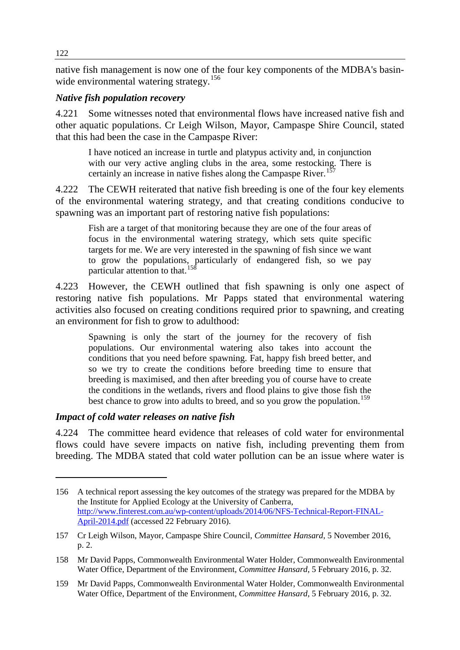native fish management is now one of the four key components of the MDBA's basin-wide environmental watering strategy.<sup>[156](#page-41-0)</sup>

# *Native fish population recovery*

4.221 Some witnesses noted that environmental flows have increased native fish and other aquatic populations. Cr Leigh Wilson, Mayor, Campaspe Shire Council, stated that this had been the case in the Campaspe River:

I have noticed an increase in turtle and platypus activity and, in conjunction with our very active angling clubs in the area, some restocking. There is certainly an increase in native fishes along the Campaspe River.<sup>[157](#page-41-1)</sup>

4.222 The CEWH reiterated that native fish breeding is one of the four key elements of the environmental watering strategy, and that creating conditions conducive to spawning was an important part of restoring native fish populations:

Fish are a target of that monitoring because they are one of the four areas of focus in the environmental watering strategy, which sets quite specific targets for me. We are very interested in the spawning of fish since we want to grow the populations, particularly of endangered fish, so we pay particular attention to that.<sup>1</sup>

4.223 However, the CEWH outlined that fish spawning is only one aspect of restoring native fish populations. Mr Papps stated that environmental watering activities also focused on creating conditions required prior to spawning, and creating an environment for fish to grow to adulthood:

Spawning is only the start of the journey for the recovery of fish populations. Our environmental watering also takes into account the conditions that you need before spawning. Fat, happy fish breed better, and so we try to create the conditions before breeding time to ensure that breeding is maximised, and then after breeding you of course have to create the conditions in the wetlands, rivers and flood plains to give those fish the best chance to grow into adults to breed, and so you grow the population.<sup>[159](#page-41-3)</sup>

## *Impact of cold water releases on native fish*

4.224 The committee heard evidence that releases of cold water for environmental flows could have severe impacts on native fish, including preventing them from breeding. The MDBA stated that cold water pollution can be an issue where water is

<span id="page-41-0"></span><sup>156</sup> A technical report assessing the key outcomes of the strategy was prepared for the MDBA by the Institute for Applied Ecology at the University of Canberra, [http://www.finterest.com.au/wp-content/uploads/2014/06/NFS-Technical-Report-FINAL-](http://www.finterest.com.au/wp-content/uploads/2014/06/NFS-Technical-Report-FINAL-April-2014.pdf)[April-2014.pdf](http://www.finterest.com.au/wp-content/uploads/2014/06/NFS-Technical-Report-FINAL-April-2014.pdf) (accessed 22 February 2016).

<span id="page-41-1"></span><sup>157</sup> Cr Leigh Wilson, Mayor, Campaspe Shire Council, *Committee Hansard*, 5 November 2016, p. 2.

<span id="page-41-2"></span><sup>158</sup> Mr David Papps, Commonwealth Environmental Water Holder, Commonwealth Environmental Water Office, Department of the Environment, *Committee Hansard*, 5 February 2016, p. 32.

<span id="page-41-3"></span><sup>159</sup> Mr David Papps, Commonwealth Environmental Water Holder, Commonwealth Environmental Water Office, Department of the Environment, *Committee Hansard*, 5 February 2016, p. 32.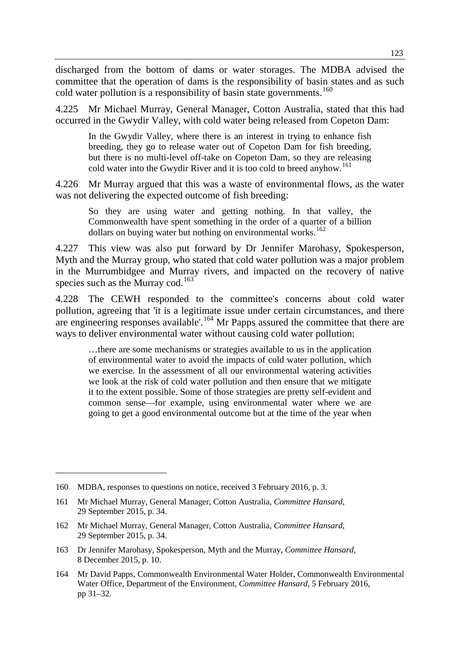discharged from the bottom of dams or water storages. The MDBA advised the committee that the operation of dams is the responsibility of basin states and as such cold water pollution is a responsibility of basin state governments.<sup>[160](#page-42-0)</sup>

4.225 Mr Michael Murray, General Manager, Cotton Australia, stated that this had occurred in the Gwydir Valley, with cold water being released from Copeton Dam:

In the Gwydir Valley, where there is an interest in trying to enhance fish breeding, they go to release water out of Copeton Dam for fish breeding, but there is no multi-level off-take on Copeton Dam, so they are releasing cold water into the Gwydir River and it is too cold to breed anyhow.<sup>[161](#page-42-1)</sup>

4.226 Mr Murray argued that this was a waste of environmental flows, as the water was not delivering the expected outcome of fish breeding:

So they are using water and getting nothing. In that valley, the Commonwealth have spent something in the order of a quarter of a billion dollars on buying water but nothing on environmental works.<sup>[162](#page-42-2)</sup>

4.227 This view was also put forward by Dr Jennifer Marohasy, Spokesperson, Myth and the Murray group, who stated that cold water pollution was a major problem in the Murrumbidgee and Murray rivers, and impacted on the recovery of native species such as the Murray cod.<sup>[163](#page-42-3)</sup>

4.228 The CEWH responded to the committee's concerns about cold water pollution, agreeing that 'it is a legitimate issue under certain circumstances, and there are engineering responses available'.<sup>[164](#page-42-4)</sup> Mr Papps assured the committee that there are ways to deliver environmental water without causing cold water pollution:

…there are some mechanisms or strategies available to us in the application of environmental water to avoid the impacts of cold water pollution, which we exercise. In the assessment of all our environmental watering activities we look at the risk of cold water pollution and then ensure that we mitigate it to the extent possible. Some of those strategies are pretty self-evident and common sense—for example, using environmental water where we are going to get a good environmental outcome but at the time of the year when

-

<span id="page-42-3"></span>163 Dr Jennifer Marohasy, Spokesperson, Myth and the Murray, *Committee Hansard*, 8 December 2015, p. 10.

<span id="page-42-0"></span><sup>160</sup> MDBA, responses to questions on notice, received 3 February 2016, p. 3.

<span id="page-42-1"></span><sup>161</sup> Mr Michael Murray, General Manager, Cotton Australia, *Committee Hansard*, 29 September 2015, p. 34.

<span id="page-42-2"></span><sup>162</sup> Mr Michael Murray, General Manager, Cotton Australia, *Committee Hansard*, 29 September 2015, p. 34.

<span id="page-42-4"></span><sup>164</sup> Mr David Papps, Commonwealth Environmental Water Holder, Commonwealth Environmental Water Office, Department of the Environment, *Committee Hansard*, 5 February 2016, pp 31–32.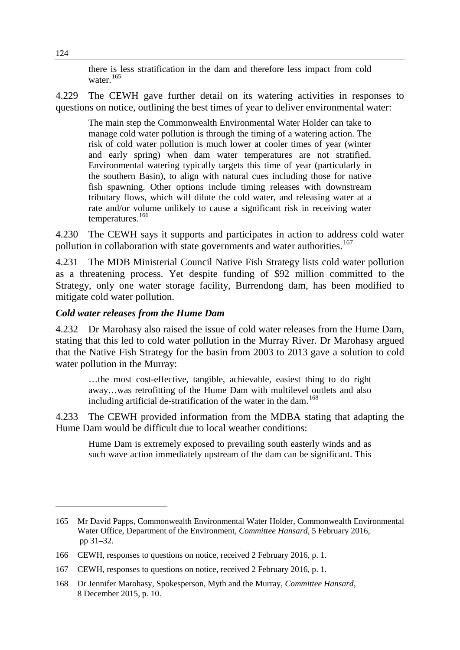there is less stratification in the dam and therefore less impact from cold water.<sup>[165](#page-43-0)</sup>

4.229 The CEWH gave further detail on its watering activities in responses to questions on notice, outlining the best times of year to deliver environmental water:

The main step the Commonwealth Environmental Water Holder can take to manage cold water pollution is through the timing of a watering action. The risk of cold water pollution is much lower at cooler times of year (winter and early spring) when dam water temperatures are not stratified. Environmental watering typically targets this time of year (particularly in the southern Basin), to align with natural cues including those for native fish spawning. Other options include timing releases with downstream tributary flows, which will dilute the cold water, and releasing water at a rate and/or volume unlikely to cause a significant risk in receiving water temperatures.<sup>[166](#page-43-1)</sup>

4.230 The CEWH says it supports and participates in action to address cold water pollution in collaboration with state governments and water authorities.<sup>[167](#page-43-2)</sup>

4.231 The MDB Ministerial Council Native Fish Strategy lists cold water pollution as a threatening process. Yet despite funding of \$92 million committed to the Strategy, only one water storage facility, Burrendong dam, has been modified to mitigate cold water pollution.

### *Cold water releases from the Hume Dam*

4.232 Dr Marohasy also raised the issue of cold water releases from the Hume Dam, stating that this led to cold water pollution in the Murray River. Dr Marohasy argued that the Native Fish Strategy for the basin from 2003 to 2013 gave a solution to cold water pollution in the Murray:

…the most cost-effective, tangible, achievable, easiest thing to do right away…was retrofitting of the Hume Dam with multilevel outlets and also including artificial de-stratification of the water in the dam.<sup>[168](#page-43-3)</sup>

4.233 The CEWH provided information from the MDBA stating that adapting the Hume Dam would be difficult due to local weather conditions:

Hume Dam is extremely exposed to prevailing south easterly winds and as such wave action immediately upstream of the dam can be significant. This

<span id="page-43-0"></span><sup>165</sup> Mr David Papps, Commonwealth Environmental Water Holder, Commonwealth Environmental Water Office, Department of the Environment, *Committee Hansard*, 5 February 2016, pp 31–32.

<span id="page-43-1"></span><sup>166</sup> CEWH, responses to questions on notice, received 2 February 2016, p. 1.

<span id="page-43-2"></span><sup>167</sup> CEWH, responses to questions on notice, received 2 February 2016, p. 1.

<span id="page-43-3"></span><sup>168</sup> Dr Jennifer Marohasy, Spokesperson, Myth and the Murray, *Committee Hansard*, 8 December 2015, p. 10.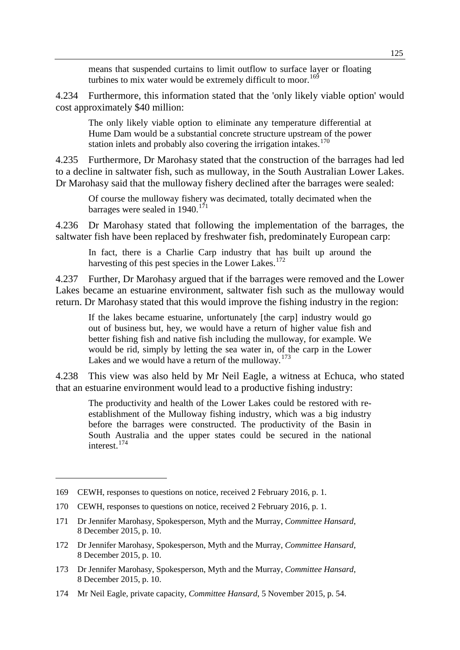means that suspended curtains to limit outflow to surface layer or floating turbines to mix water would be extremely difficult to moor.<sup>[169](#page-44-0)</sup>

4.234 Furthermore, this information stated that the 'only likely viable option' would cost approximately \$40 million:

The only likely viable option to eliminate any temperature differential at Hume Dam would be a substantial concrete structure upstream of the power station inlets and probably also covering the irrigation intakes. $170$ 

4.235 Furthermore, Dr Marohasy stated that the construction of the barrages had led to a decline in saltwater fish, such as mulloway, in the South Australian Lower Lakes. Dr Marohasy said that the mulloway fishery declined after the barrages were sealed:

Of course the mulloway fishery was decimated, totally decimated when the barrages were sealed in  $1940$ .<sup>[171](#page-44-2)</sup>

4.236 Dr Marohasy stated that following the implementation of the barrages, the saltwater fish have been replaced by freshwater fish, predominately European carp:

In fact, there is a Charlie Carp industry that has built up around the harvesting of this pest species in the Lower Lakes.<sup>[172](#page-44-3)</sup>

4.237 Further, Dr Marohasy argued that if the barrages were removed and the Lower Lakes became an estuarine environment, saltwater fish such as the mulloway would return. Dr Marohasy stated that this would improve the fishing industry in the region:

If the lakes became estuarine, unfortunately [the carp] industry would go out of business but, hey, we would have a return of higher value fish and better fishing fish and native fish including the mulloway, for example. We would be rid, simply by letting the sea water in, of the carp in the Lower Lakes and we would have a return of the mulloway.<sup>[173](#page-44-4)</sup>

4.238 This view was also held by Mr Neil Eagle, a witness at Echuca, who stated that an estuarine environment would lead to a productive fishing industry:

The productivity and health of the Lower Lakes could be restored with reestablishment of the Mulloway fishing industry, which was a big industry before the barrages were constructed. The productivity of the Basin in South Australia and the upper states could be secured in the national interest.[174](#page-44-5)

<span id="page-44-0"></span><sup>169</sup> CEWH, responses to questions on notice, received 2 February 2016, p. 1.

<span id="page-44-1"></span><sup>170</sup> CEWH, responses to questions on notice, received 2 February 2016, p. 1.

<span id="page-44-2"></span><sup>171</sup> Dr Jennifer Marohasy, Spokesperson, Myth and the Murray, *Committee Hansard*, 8 December 2015, p. 10.

<span id="page-44-3"></span><sup>172</sup> Dr Jennifer Marohasy, Spokesperson, Myth and the Murray, *Committee Hansard*, 8 December 2015, p. 10.

<span id="page-44-4"></span><sup>173</sup> Dr Jennifer Marohasy, Spokesperson, Myth and the Murray, *Committee Hansard*, 8 December 2015, p. 10.

<span id="page-44-5"></span><sup>174</sup> Mr Neil Eagle, private capacity, *Committee Hansard*, 5 November 2015, p. 54.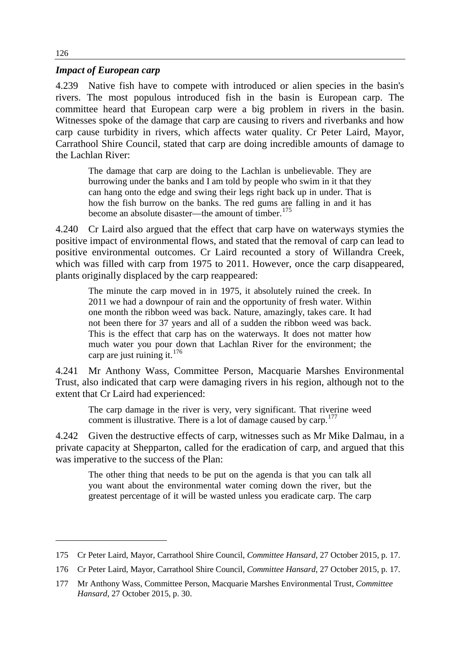#### *Impact of European carp*

4.239 Native fish have to compete with introduced or alien species in the basin's rivers. The most populous introduced fish in the basin is European carp. The committee heard that European carp were a big problem in rivers in the basin. Witnesses spoke of the damage that carp are causing to rivers and riverbanks and how carp cause turbidity in rivers, which affects water quality. Cr Peter Laird, Mayor, Carrathool Shire Council, stated that carp are doing incredible amounts of damage to the Lachlan River:

The damage that carp are doing to the Lachlan is unbelievable. They are burrowing under the banks and I am told by people who swim in it that they can hang onto the edge and swing their legs right back up in under. That is how the fish burrow on the banks. The red gums are falling in and it has become an absolute disaster—the amount of timber.<sup>[175](#page-45-0)</sup>

4.240 Cr Laird also argued that the effect that carp have on waterways stymies the positive impact of environmental flows, and stated that the removal of carp can lead to positive environmental outcomes. Cr Laird recounted a story of Willandra Creek, which was filled with carp from 1975 to 2011. However, once the carp disappeared, plants originally displaced by the carp reappeared:

The minute the carp moved in in 1975, it absolutely ruined the creek. In 2011 we had a downpour of rain and the opportunity of fresh water. Within one month the ribbon weed was back. Nature, amazingly, takes care. It had not been there for 37 years and all of a sudden the ribbon weed was back. This is the effect that carp has on the waterways. It does not matter how much water you pour down that Lachlan River for the environment; the carp are just ruining it. $176$ 

4.241 Mr Anthony Wass, Committee Person, Macquarie Marshes Environmental Trust, also indicated that carp were damaging rivers in his region, although not to the extent that Cr Laird had experienced:

The carp damage in the river is very, very significant. That riverine weed comment is illustrative. There is a lot of damage caused by carp.<sup>[177](#page-45-2)</sup>

4.242 Given the destructive effects of carp, witnesses such as Mr Mike Dalmau, in a private capacity at Shepparton, called for the eradication of carp, and argued that this was imperative to the success of the Plan:

The other thing that needs to be put on the agenda is that you can talk all you want about the environmental water coming down the river, but the greatest percentage of it will be wasted unless you eradicate carp. The carp

<span id="page-45-0"></span><sup>175</sup> Cr Peter Laird, Mayor, Carrathool Shire Council, *Committee Hansard*, 27 October 2015, p. 17.

<span id="page-45-1"></span><sup>176</sup> Cr Peter Laird, Mayor, Carrathool Shire Council, *Committee Hansard*, 27 October 2015, p. 17.

<span id="page-45-2"></span><sup>177</sup> Mr Anthony Wass, Committee Person, Macquarie Marshes Environmental Trust, *Committee Hansard*, 27 October 2015, p. 30.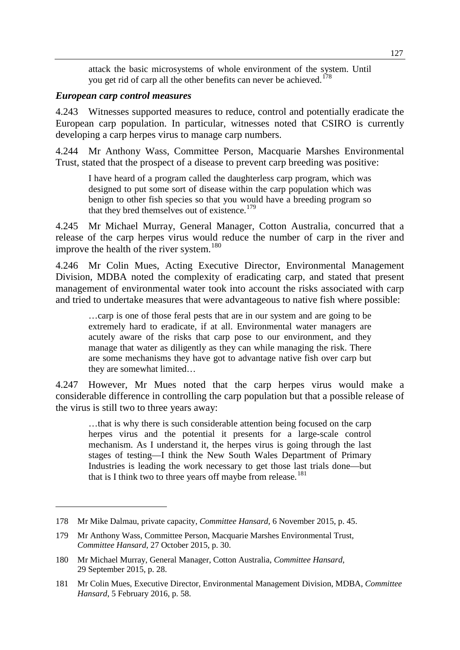attack the basic microsystems of whole environment of the system. Until you get rid of carp all the other benefits can never be achieved.<sup>[178](#page-46-0)</sup>

#### *European carp control measures*

-

4.243 Witnesses supported measures to reduce, control and potentially eradicate the European carp population. In particular, witnesses noted that CSIRO is currently developing a carp herpes virus to manage carp numbers.

4.244 Mr Anthony Wass, Committee Person, Macquarie Marshes Environmental Trust, stated that the prospect of a disease to prevent carp breeding was positive:

I have heard of a program called the daughterless carp program, which was designed to put some sort of disease within the carp population which was benign to other fish species so that you would have a breeding program so that they bred themselves out of existence.<sup>[179](#page-46-1)</sup>

4.245 Mr Michael Murray, General Manager, Cotton Australia, concurred that a release of the carp herpes virus would reduce the number of carp in the river and improve the health of the river system.<sup>[180](#page-46-2)</sup>

4.246 Mr Colin Mues, Acting Executive Director, Environmental Management Division, MDBA noted the complexity of eradicating carp, and stated that present management of environmental water took into account the risks associated with carp and tried to undertake measures that were advantageous to native fish where possible:

…carp is one of those feral pests that are in our system and are going to be extremely hard to eradicate, if at all. Environmental water managers are acutely aware of the risks that carp pose to our environment, and they manage that water as diligently as they can while managing the risk. There are some mechanisms they have got to advantage native fish over carp but they are somewhat limited…

4.247 However, Mr Mues noted that the carp herpes virus would make a considerable difference in controlling the carp population but that a possible release of the virus is still two to three years away:

…that is why there is such considerable attention being focused on the carp herpes virus and the potential it presents for a large-scale control mechanism. As I understand it, the herpes virus is going through the last stages of testing—I think the New South Wales Department of Primary Industries is leading the work necessary to get those last trials done—but that is I think two to three years off maybe from release.<sup>[181](#page-46-3)</sup>

<span id="page-46-0"></span><sup>178</sup> Mr Mike Dalmau, private capacity, *Committee Hansard,* 6 November 2015, p. 45.

<span id="page-46-1"></span><sup>179</sup> Mr Anthony Wass, Committee Person, Macquarie Marshes Environmental Trust, *Committee Hansard*, 27 October 2015, p. 30.

<span id="page-46-2"></span><sup>180</sup> Mr Michael Murray, General Manager, Cotton Australia, *Committee Hansard*, 29 September 2015, p. 28.

<span id="page-46-3"></span><sup>181</sup> Mr Colin Mues, Executive Director, Environmental Management Division, MDBA, *Committee Hansard*, 5 February 2016, p. 58.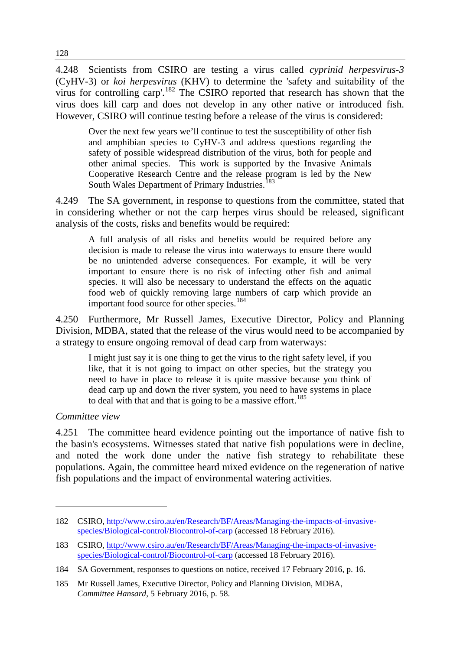4.248 Scientists from CSIRO are testing a virus called *cyprinid herpesvirus-3*  (CyHV-3) or *koi herpesvirus* (KHV) to determine the 'safety and suitability of the virus for controlling carp'.[182](#page-47-0) The CSIRO reported that research has shown that the virus does kill carp and does not develop in any other native or introduced fish. However, CSIRO will continue testing before a release of the virus is considered:

Over the next few years we'll continue to test the susceptibility of other fish and amphibian species to CyHV-3 and address questions regarding the safety of possible widespread distribution of the virus, both for people and other animal species. This work is supported by the Invasive Animals Cooperative Research Centre and the release program is led by the New South Wales Department of Primary Industries.<sup>[183](#page-47-1)</sup>

4.249 The SA government, in response to questions from the committee, stated that in considering whether or not the carp herpes virus should be released, significant analysis of the costs, risks and benefits would be required:

A full analysis of all risks and benefits would be required before any decision is made to release the virus into waterways to ensure there would be no unintended adverse consequences. For example, it will be very important to ensure there is no risk of infecting other fish and animal species. It will also be necessary to understand the effects on the aquatic food web of quickly removing large numbers of carp which provide an important food source for other species.<sup>[184](#page-47-2)</sup>

4.250 Furthermore, Mr Russell James, Executive Director, Policy and Planning Division, MDBA, stated that the release of the virus would need to be accompanied by a strategy to ensure ongoing removal of dead carp from waterways:

I might just say it is one thing to get the virus to the right safety level, if you like, that it is not going to impact on other species, but the strategy you need to have in place to release it is quite massive because you think of dead carp up and down the river system, you need to have systems in place to deal with that and that is going to be a massive effort.<sup>[185](#page-47-3)</sup>

#### *Committee view*

-

4.251 The committee heard evidence pointing out the importance of native fish to the basin's ecosystems. Witnesses stated that native fish populations were in decline, and noted the work done under the native fish strategy to rehabilitate these populations. Again, the committee heard mixed evidence on the regeneration of native fish populations and the impact of environmental watering activities.

<span id="page-47-0"></span><sup>182</sup> CSIRO, [http://www.csiro.au/en/Research/BF/Areas/Managing-the-impacts-of-invasive](http://www.csiro.au/en/Research/BF/Areas/Managing-the-impacts-of-invasive-species/Biological-control/Biocontrol-of-carp)[species/Biological-control/Biocontrol-of-carp](http://www.csiro.au/en/Research/BF/Areas/Managing-the-impacts-of-invasive-species/Biological-control/Biocontrol-of-carp) (accessed 18 February 2016).

<span id="page-47-1"></span><sup>183</sup> CSIRO, [http://www.csiro.au/en/Research/BF/Areas/Managing-the-impacts-of-invasive](http://www.csiro.au/en/Research/BF/Areas/Managing-the-impacts-of-invasive-species/Biological-control/Biocontrol-of-carp)[species/Biological-control/Biocontrol-of-carp](http://www.csiro.au/en/Research/BF/Areas/Managing-the-impacts-of-invasive-species/Biological-control/Biocontrol-of-carp) (accessed 18 February 2016).

<span id="page-47-2"></span><sup>184</sup> SA Government, responses to questions on notice, received 17 February 2016, p. 16.

<span id="page-47-3"></span><sup>185</sup> Mr Russell James, Executive Director, Policy and Planning Division, MDBA, *Committee Hansard*, 5 February 2016, p. 58.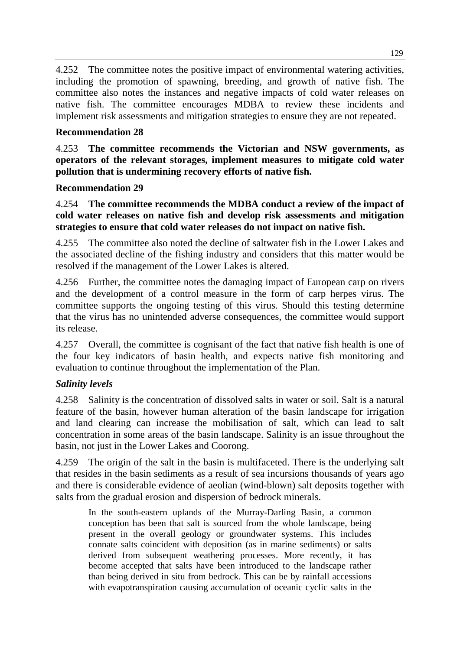4.252 The committee notes the positive impact of environmental watering activities, including the promotion of spawning, breeding, and growth of native fish. The committee also notes the instances and negative impacts of cold water releases on native fish. The committee encourages MDBA to review these incidents and implement risk assessments and mitigation strategies to ensure they are not repeated.

# **Recommendation 28**

4.253 **The committee recommends the Victorian and NSW governments, as operators of the relevant storages, implement measures to mitigate cold water pollution that is undermining recovery efforts of native fish.**

# **Recommendation 29**

4.254 **The committee recommends the MDBA conduct a review of the impact of cold water releases on native fish and develop risk assessments and mitigation strategies to ensure that cold water releases do not impact on native fish.**

4.255 The committee also noted the decline of saltwater fish in the Lower Lakes and the associated decline of the fishing industry and considers that this matter would be resolved if the management of the Lower Lakes is altered.

4.256 Further, the committee notes the damaging impact of European carp on rivers and the development of a control measure in the form of carp herpes virus. The committee supports the ongoing testing of this virus. Should this testing determine that the virus has no unintended adverse consequences, the committee would support its release.

4.257 Overall, the committee is cognisant of the fact that native fish health is one of the four key indicators of basin health, and expects native fish monitoring and evaluation to continue throughout the implementation of the Plan.

# *Salinity levels*

4.258 Salinity is the concentration of dissolved salts in water or soil. Salt is a natural feature of the basin, however human alteration of the basin landscape for irrigation and land clearing can increase the mobilisation of salt, which can lead to salt concentration in some areas of the basin landscape. Salinity is an issue throughout the basin, not just in the Lower Lakes and Coorong.

4.259 The origin of the salt in the basin is multifaceted. There is the underlying salt that resides in the basin sediments as a result of sea incursions thousands of years ago and there is considerable evidence of aeolian (wind-blown) salt deposits together with salts from the gradual erosion and dispersion of bedrock minerals.

In the south-eastern uplands of the Murray-Darling Basin, a common conception has been that salt is sourced from the whole landscape, being present in the overall geology or groundwater systems. This includes connate salts coincident with deposition (as in marine sediments) or salts derived from subsequent weathering processes. More recently, it has become accepted that salts have been introduced to the landscape rather than being derived in situ from bedrock. This can be by rainfall accessions with evapotranspiration causing accumulation of oceanic cyclic salts in the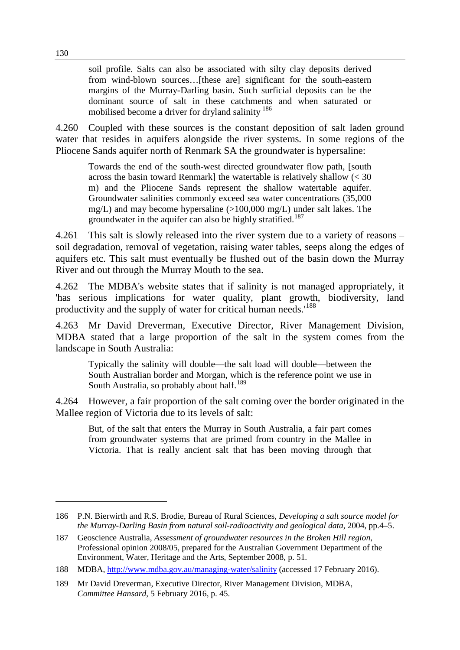soil profile. Salts can also be associated with silty clay deposits derived from wind-blown sources…[these are] significant for the south-eastern margins of the Murray-Darling basin. Such surficial deposits can be the dominant source of salt in these catchments and when saturated or mobilised become a driver for dryland salinity <sup>[186](#page-49-0)</sup>

4.260 Coupled with these sources is the constant deposition of salt laden ground water that resides in aquifers alongside the river systems. In some regions of the Pliocene Sands aquifer north of Renmark SA the groundwater is hypersaline:

Towards the end of the south-west directed groundwater flow path, [south across the basin toward Renmark] the watertable is relatively shallow  $\langle \langle 30 \rangle$ m) and the Pliocene Sands represent the shallow watertable aquifer. Groundwater salinities commonly exceed sea water concentrations (35,000  $mg/L$ ) and may become hypersaline ( $>100,000$  mg/L) under salt lakes. The groundwater in the aquifer can also be highly stratified.<sup>[187](#page-49-1)</sup>

4.261 This salt is slowly released into the river system due to a variety of reasons – soil degradation, removal of vegetation, raising water tables, seeps along the edges of aquifers etc. This salt must eventually be flushed out of the basin down the Murray River and out through the Murray Mouth to the sea.

4.262 The MDBA's website states that if salinity is not managed appropriately, it 'has serious implications for water quality, plant growth, biodiversity, land productivity and the supply of water for critical human needs.'[188](#page-49-2)

4.263 Mr David Dreverman, Executive Director, River Management Division, MDBA stated that a large proportion of the salt in the system comes from the landscape in South Australia:

Typically the salinity will double—the salt load will double—between the South Australian border and Morgan, which is the reference point we use in South Australia, so probably about half.<sup>[189](#page-49-3)</sup>

4.264 However, a fair proportion of the salt coming over the border originated in the Mallee region of Victoria due to its levels of salt:

But, of the salt that enters the Murray in South Australia, a fair part comes from groundwater systems that are primed from country in the Mallee in Victoria. That is really ancient salt that has been moving through that

<span id="page-49-0"></span><sup>186</sup> P.N. Bierwirth and R.S. Brodie, Bureau of Rural Sciences, *Developing a salt source model for the Murray-Darling Basin from natural soil-radioactivity and geological data*, 2004, pp.4–5.

<span id="page-49-1"></span><sup>187</sup> Geoscience Australia, *Assessment of groundwater resources in the Broken Hill region*, Professional opinion 2008/05, prepared for the Australian Government Department of the Environment, Water, Heritage and the Arts, September 2008, p. 51.

<span id="page-49-2"></span><sup>188</sup> MDBA,<http://www.mdba.gov.au/managing-water/salinity> (accessed 17 February 2016).

<span id="page-49-3"></span><sup>189</sup> Mr David Dreverman, Executive Director, River Management Division, MDBA, *Committee Hansard*, 5 February 2016, p. 45.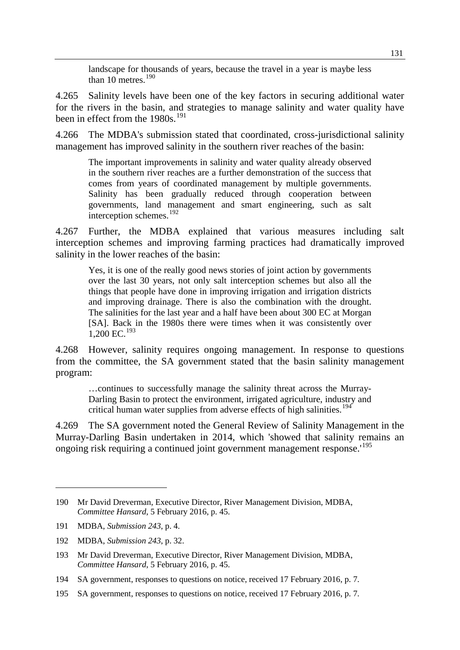landscape for thousands of years, because the travel in a year is maybe less than  $10$  metres.<sup>[190](#page-50-0)</sup>

4.265 Salinity levels have been one of the key factors in securing additional water for the rivers in the basin, and strategies to manage salinity and water quality have been in effect from the 1980s.<sup>[191](#page-50-1)</sup>

4.266 The MDBA's submission stated that coordinated, cross-jurisdictional salinity management has improved salinity in the southern river reaches of the basin:

The important improvements in salinity and water quality already observed in the southern river reaches are a further demonstration of the success that comes from years of coordinated management by multiple governments. Salinity has been gradually reduced through cooperation between governments, land management and smart engineering, such as salt interception schemes. $192$ 

4.267 Further, the MDBA explained that various measures including salt interception schemes and improving farming practices had dramatically improved salinity in the lower reaches of the basin:

Yes, it is one of the really good news stories of joint action by governments over the last 30 years, not only salt interception schemes but also all the things that people have done in improving irrigation and irrigation districts and improving drainage. There is also the combination with the drought. The salinities for the last year and a half have been about 300 EC at Morgan [SA]. Back in the 1980s there were times when it was consistently over 1,200 EC.[193](#page-50-3)

4.268 However, salinity requires ongoing management. In response to questions from the committee, the SA government stated that the basin salinity management program:

…continues to successfully manage the salinity threat across the Murray-Darling Basin to protect the environment, irrigated agriculture, industry and critical human water supplies from adverse effects of high salinities.<sup>[194](#page-50-4)</sup>

4.269 The SA government noted the General Review of Salinity Management in the Murray-Darling Basin undertaken in 2014, which 'showed that salinity remains an ongoing risk requiring a continued joint government management response.'[195](#page-50-5)

<span id="page-50-0"></span><sup>190</sup> Mr David Dreverman, Executive Director, River Management Division, MDBA, *Committee Hansard*, 5 February 2016, p. 45.

<span id="page-50-1"></span><sup>191</sup> MDBA, *Submission 243*, p. 4.

<span id="page-50-2"></span><sup>192</sup> MDBA, *Submission 243*, p. 32.

<span id="page-50-3"></span><sup>193</sup> Mr David Dreverman, Executive Director, River Management Division, MDBA, *Committee Hansard*, 5 February 2016, p. 45.

<span id="page-50-4"></span><sup>194</sup> SA government, responses to questions on notice, received 17 February 2016, p. 7.

<span id="page-50-5"></span><sup>195</sup> SA government, responses to questions on notice, received 17 February 2016, p. 7.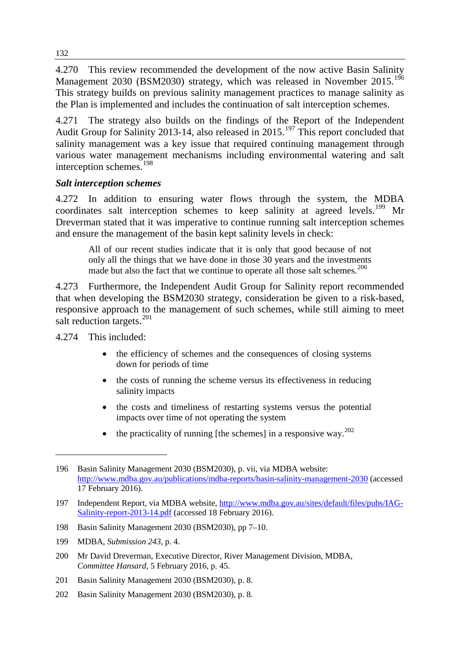4.270 This review recommended the development of the now active Basin Salinity Management 2030 (BSM2030) strategy, which was released in November 2015.<sup>[196](#page-51-0)</sup> This strategy builds on previous salinity management practices to manage salinity as the Plan is implemented and includes the continuation of salt interception schemes.

4.271 The strategy also builds on the findings of the Report of the Independent Audit Group for Salinity 2013-14, also released in  $2015$ .<sup>[197](#page-51-1)</sup> This report concluded that salinity management was a key issue that required continuing management through various water management mechanisms including environmental watering and salt interception schemes.<sup>[198](#page-51-2)</sup>

# *Salt interception schemes*

4.272 In addition to ensuring water flows through the system, the MDBA coordinates salt interception schemes to keep salinity at agreed levels.<sup>[199](#page-51-3)</sup> Mr Dreverman stated that it was imperative to continue running salt interception schemes and ensure the management of the basin kept salinity levels in check:

All of our recent studies indicate that it is only that good because of not only all the things that we have done in those 30 years and the investments made but also the fact that we continue to operate all those salt schemes.<sup>[200](#page-51-4)</sup>

4.273 Furthermore, the Independent Audit Group for Salinity report recommended that when developing the BSM2030 strategy, consideration be given to a risk-based, responsive approach to the management of such schemes, while still aiming to meet salt reduction targets.<sup>[201](#page-51-5)</sup>

4.274 This included:

- the efficiency of schemes and the consequences of closing systems down for periods of time
- the costs of running the scheme versus its effectiveness in reducing salinity impacts
- the costs and timeliness of restarting systems versus the potential impacts over time of not operating the system
- the practicality of running [the schemes] in a responsive way.<sup>[202](#page-51-6)</sup>

<span id="page-51-0"></span><sup>196</sup> Basin Salinity Management 2030 (BSM2030), p. vii, via MDBA website: <http://www.mdba.gov.au/publications/mdba-reports/basin-salinity-management-2030> (accessed 17 February 2016).

<span id="page-51-1"></span><sup>197</sup> Independent Report, via MDBA website, [http://www.mdba.gov.au/sites/default/files/pubs/IAG-](http://www.mdba.gov.au/sites/default/files/pubs/IAG-Salinity-report-2013-14.pdf)[Salinity-report-2013-14.pdf](http://www.mdba.gov.au/sites/default/files/pubs/IAG-Salinity-report-2013-14.pdf) (accessed 18 February 2016).

<span id="page-51-2"></span><sup>198</sup> Basin Salinity Management 2030 (BSM2030), pp 7–10.

<span id="page-51-3"></span><sup>199</sup> MDBA, *Submission 243*, p. 4.

<span id="page-51-4"></span><sup>200</sup> Mr David Dreverman, Executive Director, River Management Division, MDBA, *Committee Hansard*, 5 February 2016, p. 45.

<span id="page-51-5"></span><sup>201</sup> Basin Salinity Management 2030 (BSM2030), p. 8.

<span id="page-51-6"></span><sup>202</sup> Basin Salinity Management 2030 (BSM2030), p. 8.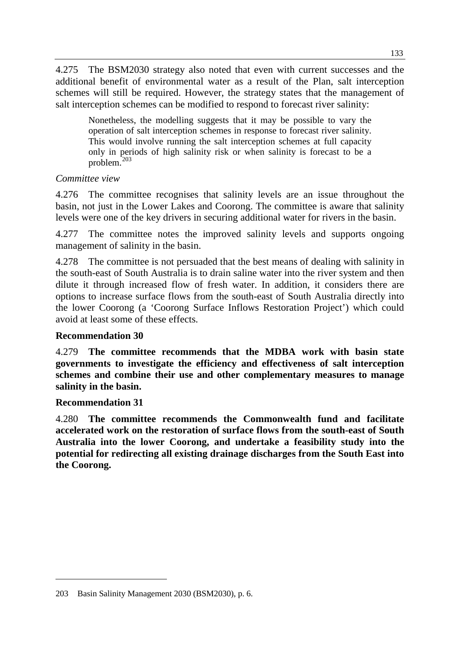4.275 The BSM2030 strategy also noted that even with current successes and the additional benefit of environmental water as a result of the Plan, salt interception schemes will still be required. However, the strategy states that the management of salt interception schemes can be modified to respond to forecast river salinity:

Nonetheless, the modelling suggests that it may be possible to vary the operation of salt interception schemes in response to forecast river salinity. This would involve running the salt interception schemes at full capacity only in periods of high salinity risk or when salinity is forecast to be a problem.[203](#page-52-0)

# *Committee view*

4.276 The committee recognises that salinity levels are an issue throughout the basin, not just in the Lower Lakes and Coorong. The committee is aware that salinity levels were one of the key drivers in securing additional water for rivers in the basin.

4.277 The committee notes the improved salinity levels and supports ongoing management of salinity in the basin.

4.278 The committee is not persuaded that the best means of dealing with salinity in the south-east of South Australia is to drain saline water into the river system and then dilute it through increased flow of fresh water. In addition, it considers there are options to increase surface flows from the south-east of South Australia directly into the lower Coorong (a 'Coorong Surface Inflows Restoration Project') which could avoid at least some of these effects.

## **Recommendation 30**

4.279 **The committee recommends that the MDBA work with basin state governments to investigate the efficiency and effectiveness of salt interception schemes and combine their use and other complementary measures to manage salinity in the basin.**

## **Recommendation 31**

-

4.280 **The committee recommends the Commonwealth fund and facilitate accelerated work on the restoration of surface flows from the south-east of South Australia into the lower Coorong, and undertake a feasibility study into the potential for redirecting all existing drainage discharges from the South East into the Coorong.**

<span id="page-52-0"></span><sup>203</sup> Basin Salinity Management 2030 (BSM2030), p. 6.